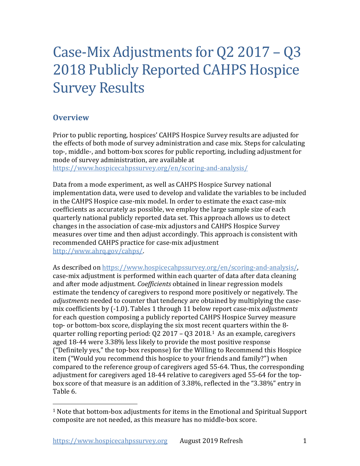# Case-Mix Adjustments for Q2 2017 – Q3 2018 Publicly Reported CAHPS Hospice Survey Results

# **Overview**

Prior to public reporting, hospices' CAHPS Hospice Survey results are adjusted for the effects of both mode of survey administration and case mix. Steps for calculating top-, middle-, and bottom-box scores for public reporting, including adjustment for mode of survey administration, are available at

[https://www.hospicecahpssurvey.org/en/scoring-and-analysis/](https://hospicecahpssurvey.org/en/public-reporting/scoring-and-analysis/)

Data from a mode experiment, as well as CAHPS Hospice Survey national implementation data, were used to develop and validate the variables to be included in the CAHPS Hospice case-mix model. In order to estimate the exact case-mix coefficients as accurately as possible, we employ the large sample size of each quarterly national publicly reported data set. This approach allows us to detect changes in the association of case-mix adjustors and CAHPS Hospice Survey measures over time and then adjust accordingly. This approach is consistent with recommended CAHPS practice for case-mix adjustment [http://www.ahrq.gov/cahps/.](https://www.ahrq.gov/cahps/)

As described on [https://www.hospicecahpssurvey.org/en/scoring-and-analysis/,](https://hospicecahpssurvey.org/en/public-reporting/scoring-and-analysis/) case-mix adjustment is performed within each quarter of data after data cleaning and after mode adjustment. *Coefficients* obtained in linear regression models estimate the tendency of caregivers to respond more positively or negatively. The *adjustments* needed to counter that tendency are obtained by multiplying the casemix coefficients by (-1.0). Tables 1 through 11 below report case-mix *adjustments* for each question composing a publicly reported CAHPS Hospice Survey measure top- or bottom-box score, displaying the six most recent quarters within the 8 quarter rolling reporting period: Q2 2017 – Q3 2018.[1](#page-0-0) As an example, caregivers aged 18-44 were 3.38% less likely to provide the most positive response ("Definitely yes," the top-box response) for the Willing to Recommend this Hospice item ("Would you recommend this hospice to your friends and family?") when compared to the reference group of caregivers aged 55-64. Thus, the corresponding adjustment for caregivers aged 18-44 relative to caregivers aged 55-64 for the topbox score of that measure is an addition of 3.38%, reflected in the "3.38%" entry in Table 6.

<span id="page-0-0"></span> $1$  Note that bottom-box adjustments for items in the Emotional and Spiritual Support composite are not needed, as this measure has no middle-box score.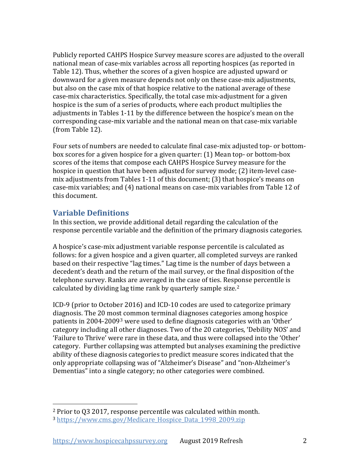Publicly reported CAHPS Hospice Survey measure scores are adjusted to the overall national mean of case-mix variables across all reporting hospices (as reported in Table 12). Thus, whether the scores of a given hospice are adjusted upward or downward for a given measure depends not only on these case-mix adjustments, but also on the case mix of that hospice relative to the national average of these case-mix characteristics. Specifically, the total case mix-adjustment for a given hospice is the sum of a series of products, where each product multiplies the adjustments in Tables 1-11 by the difference between the hospice's mean on the corresponding case-mix variable and the national mean on that case-mix variable (from Table 12).

Four sets of numbers are needed to calculate final case-mix adjusted top- or bottombox scores for a given hospice for a given quarter: (1) Mean top- or bottom-box scores of the items that compose each CAHPS Hospice Survey measure for the hospice in question that have been adjusted for survey mode; (2) item-level casemix adjustments from Tables 1-11 of this document; (3) that hospice's means on case-mix variables; and (4) national means on case-mix variables from Table 12 of this document.

# **Variable Definitions**

In this section, we provide additional detail regarding the calculation of the response percentile variable and the definition of the primary diagnosis categories.

A hospice's case-mix adjustment variable response percentile is calculated as follows: for a given hospice and a given quarter, all completed surveys are ranked based on their respective "lag times." Lag time is the number of days between a decedent's death and the return of the mail survey, or the final disposition of the telephone survey. Ranks are averaged in the case of ties. Response percentile is calculated by dividing lag time rank by quarterly sample size.<sup>[2](#page-1-0)</sup>

ICD-9 (prior to October 2016) and ICD-10 codes are used to categorize primary diagnosis. The 20 most common terminal diagnoses categories among hospice patients in 2004-2009[3](#page-1-1) were used to define diagnosis categories with an 'Other' category including all other diagnoses. Two of the 20 categories, 'Debility NOS' and 'Failure to Thrive' were rare in these data, and thus were collapsed into the 'Other' category. Further collapsing was attempted but analyses examining the predictive ability of these diagnosis categories to predict measure scores indicated that the only appropriate collapsing was of "Alzheimer's Disease" and "non-Alzheimer's Dementias" into a single category; no other categories were combined.

<span id="page-1-1"></span><span id="page-1-0"></span><sup>2</sup> Prior to Q3 2017, response percentile was calculated within month.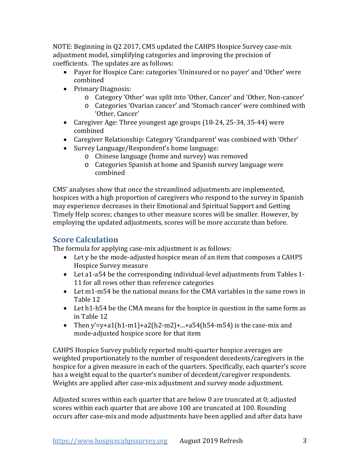NOTE: Beginning in Q2 2017, CMS updated the CAHPS Hospice Survey case-mix adjustment model, simplifying categories and improving the precision of coefficients. The updates are as follows:

- Payer for Hospice Care: categories 'Uninsured or no payer' and 'Other' were combined
- Primary Diagnosis:
	- o Category 'Other' was split into 'Other, Cancer' and 'Other, Non-cancer'
	- o Categories 'Ovarian cancer' and 'Stomach cancer' were combined with 'Other, Cancer'
- Caregiver Age: Three youngest age groups (18-24, 25-34, 35-44) were combined
- Caregiver Relationship: Category 'Grandparent' was combined with 'Other'
- Survey Language/Respondent's home language:
	- o Chinese language (home and survey) was removed
	- o Categories Spanish at home and Spanish survey language were combined

CMS' analyses show that once the streamlined adjustments are implemented, hospices with a high proportion of caregivers who respond to the survey in Spanish may experience decreases in their Emotional and Spiritual Support and Getting Timely Help scores; changes to other measure scores will be smaller. However, by employing the updated adjustments, scores will be more accurate than before.

# **Score Calculation**

The formula for applying case-mix adjustment is as follows:

- Let y be the mode-adjusted hospice mean of an item that composes a CAHPS Hospice Survey measure
- Let a1-a54 be the corresponding individual-level adjustments from Tables 1- 11 for all rows other than reference categories
- Let m1-m54 be the national means for the CMA variables in the same rows in Table 12
- Let h1-h54 be the CMA means for the hospice in question in the same form as in Table 12
- Then y'=y+a1(h1-m1)+a2(h2-m2)+...+a54(h54-m54) is the case-mix and mode-adjusted hospice score for that item

CAHPS Hospice Survey publicly reported multi-quarter hospice averages are weighted proportionately to the number of respondent decedents/caregivers in the hospice for a given measure in each of the quarters. Specifically, each quarter's score has a weight equal to the quarter's number of decedent/caregiver respondents. Weights are applied after case-mix adjustment and survey mode adjustment.

Adjusted scores within each quarter that are below 0 are truncated at 0; adjusted scores within each quarter that are above 100 are truncated at 100. Rounding occurs after case-mix and mode adjustments have been applied and after data have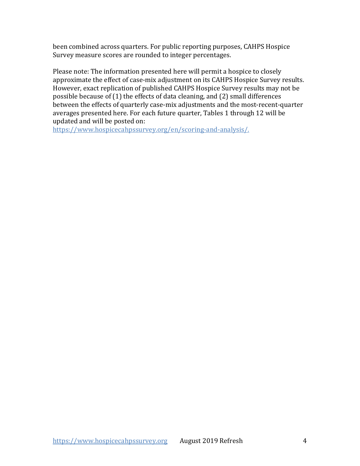been combined across quarters. For public reporting purposes, CAHPS Hospice Survey measure scores are rounded to integer percentages.

Please note: The information presented here will permit a hospice to closely approximate the effect of case-mix adjustment on its CAHPS Hospice Survey results. However, exact replication of published CAHPS Hospice Survey results may not be possible because of (1) the effects of data cleaning, and (2) small differences between the effects of quarterly case-mix adjustments and the most-recent-quarter averages presented here. For each future quarter, Tables 1 through 12 will be updated and will be posted on:

[https://www.hospicecahpssurvey.org/en/scoring-and-analysis/.](https://hospicecahpssurvey.org/en/public-reporting/scoring-and-analysis/)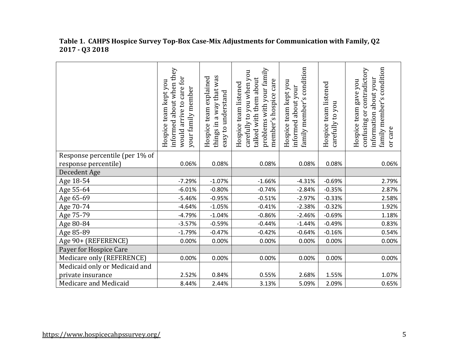|                                | informed about when they<br>would arrive to care for<br>Hospice team kept you<br>your family member | things in a way that was<br>Hospice team explained<br>easy to understand | problems with your family<br>carefully to you when you<br>talked with them about<br>member's hospice care<br>Hospice team listened | condition<br>Hospice team kept you<br>about your<br>family member's<br>informed | Hospice team listened<br>carefully to you | family member's condition<br>contradictory<br>information about your<br>Hospice team gave you<br>ðr<br>confusing<br>or care |
|--------------------------------|-----------------------------------------------------------------------------------------------------|--------------------------------------------------------------------------|------------------------------------------------------------------------------------------------------------------------------------|---------------------------------------------------------------------------------|-------------------------------------------|-----------------------------------------------------------------------------------------------------------------------------|
| Response percentile (per 1% of |                                                                                                     |                                                                          |                                                                                                                                    |                                                                                 |                                           |                                                                                                                             |
| response percentile)           | 0.06%                                                                                               | 0.08%                                                                    | 0.08%                                                                                                                              | 0.08%                                                                           | 0.08%                                     | 0.06%                                                                                                                       |
| Decedent Age                   |                                                                                                     |                                                                          |                                                                                                                                    |                                                                                 |                                           |                                                                                                                             |
| Age 18-54                      | $-7.29%$                                                                                            | $-1.07%$                                                                 | $-1.66%$                                                                                                                           | $-4.31%$                                                                        | $-0.69%$                                  | 2.79%                                                                                                                       |
| Age 55-64                      | $-6.01%$                                                                                            | $-0.80%$                                                                 | $-0.74%$                                                                                                                           | $-2.84%$                                                                        | $-0.35%$                                  | 2.87%                                                                                                                       |
| Age 65-69                      | $-5.46%$                                                                                            | $-0.95%$                                                                 | $-0.51%$                                                                                                                           | $-2.97%$                                                                        | $-0.33%$                                  | 2.58%                                                                                                                       |
| Age 70-74                      | $-4.64%$                                                                                            | $-1.05%$                                                                 | $-0.41%$                                                                                                                           | $-2.38%$                                                                        | $-0.32%$                                  | 1.92%                                                                                                                       |
| Age 75-79                      | $-4.79%$                                                                                            | $-1.04%$                                                                 | $-0.86%$                                                                                                                           | $-2.46%$                                                                        | $-0.69%$                                  | 1.18%                                                                                                                       |
| Age 80-84                      | $-3.57%$                                                                                            | $-0.59%$                                                                 | $-0.44%$                                                                                                                           | $-1.44%$                                                                        | $-0.49%$                                  | 0.83%                                                                                                                       |
| Age 85-89                      | $-1.79%$                                                                                            | $-0.47%$                                                                 | $-0.42%$                                                                                                                           | $-0.64%$                                                                        | $-0.16%$                                  | 0.54%                                                                                                                       |
| Age 90+ (REFERENCE)            | 0.00%                                                                                               | 0.00%                                                                    | 0.00%                                                                                                                              | 0.00%                                                                           | 0.00%                                     | 0.00%                                                                                                                       |
| Payer for Hospice Care         |                                                                                                     |                                                                          |                                                                                                                                    |                                                                                 |                                           |                                                                                                                             |
| Medicare only (REFERENCE)      | 0.00%                                                                                               | 0.00%                                                                    | 0.00%                                                                                                                              | 0.00%                                                                           | 0.00%                                     | 0.00%                                                                                                                       |
| Medicaid only or Medicaid and  |                                                                                                     |                                                                          |                                                                                                                                    |                                                                                 |                                           |                                                                                                                             |
| private insurance              | 2.52%                                                                                               | 0.84%                                                                    | 0.55%                                                                                                                              | 2.68%                                                                           | 1.55%                                     | 1.07%                                                                                                                       |
| Medicare and Medicaid          | 8.44%                                                                                               | 2.44%                                                                    | 3.13%                                                                                                                              | 5.09%                                                                           | 2.09%                                     | 0.65%                                                                                                                       |

## **Table 1. CAHPS Hospice Survey Top-Box Case-Mix Adjustments for Communication with Family, Q2 2017 - Q3 2018**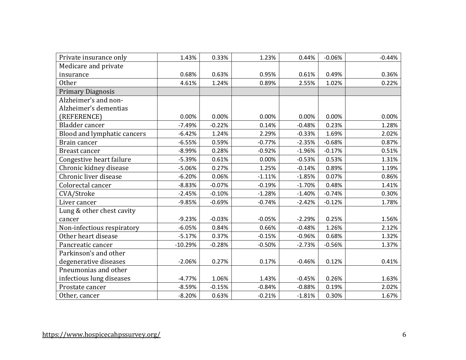| Private insurance only      | 1.43%     | 0.33%    | 1.23%    | 0.44%    | $-0.06%$ | $-0.44%$ |
|-----------------------------|-----------|----------|----------|----------|----------|----------|
| Medicare and private        |           |          |          |          |          |          |
| insurance                   | 0.68%     | 0.63%    | 0.95%    | 0.61%    | 0.49%    | 0.36%    |
| <b>Other</b>                | 4.61%     | 1.24%    | 0.89%    | 2.55%    | 1.02%    | 0.22%    |
| <b>Primary Diagnosis</b>    |           |          |          |          |          |          |
| Alzheimer's and non-        |           |          |          |          |          |          |
| Alzheimer's dementias       |           |          |          |          |          |          |
| (REFERENCE)                 | 0.00%     | 0.00%    | 0.00%    | 0.00%    | 0.00%    | 0.00%    |
| Bladder cancer              | $-7.49%$  | $-0.22%$ | 0.14%    | $-0.48%$ | 0.23%    | 1.28%    |
| Blood and lymphatic cancers | $-6.42%$  | 1.24%    | 2.29%    | $-0.33%$ | 1.69%    | 2.02%    |
| Brain cancer                | $-6.55%$  | 0.59%    | $-0.77%$ | $-2.35%$ | $-0.68%$ | 0.87%    |
| <b>Breast cancer</b>        | $-8.99%$  | 0.28%    | $-0.92%$ | $-1.96%$ | $-0.17%$ | 0.51%    |
| Congestive heart failure    | $-5.39%$  | 0.61%    | 0.00%    | $-0.53%$ | 0.53%    | 1.31%    |
| Chronic kidney disease      | $-5.06%$  | 0.27%    | 1.25%    | $-0.14%$ | 0.89%    | 1.19%    |
| Chronic liver disease       | $-6.20%$  | 0.06%    | $-1.11%$ | $-1.85%$ | 0.07%    | 0.86%    |
| Colorectal cancer           | $-8.83%$  | $-0.07%$ | $-0.19%$ | $-1.70%$ | 0.48%    | 1.41%    |
| CVA/Stroke                  | $-2.45%$  | $-0.10%$ | $-1.28%$ | $-1.40%$ | $-0.74%$ | 0.30%    |
| Liver cancer                | $-9.85%$  | $-0.69%$ | $-0.74%$ | $-2.42%$ | $-0.12%$ | 1.78%    |
| Lung & other chest cavity   |           |          |          |          |          |          |
| cancer                      | $-9.23%$  | $-0.03%$ | $-0.05%$ | $-2.29%$ | 0.25%    | 1.56%    |
| Non-infectious respiratory  | $-6.05%$  | 0.84%    | 0.66%    | $-0.48%$ | 1.26%    | 2.12%    |
| Other heart disease         | $-5.17%$  | 0.37%    | $-0.15%$ | $-0.96%$ | 0.68%    | 1.32%    |
| Pancreatic cancer           | $-10.29%$ | $-0.28%$ | $-0.50%$ | $-2.73%$ | $-0.56%$ | 1.37%    |
| Parkinson's and other       |           |          |          |          |          |          |
| degenerative diseases       | $-2.06%$  | 0.27%    | 0.17%    | $-0.46%$ | 0.12%    | 0.41%    |
| Pneumonias and other        |           |          |          |          |          |          |
| infectious lung diseases    | $-4.77%$  | 1.06%    | 1.43%    | $-0.45%$ | 0.26%    | 1.63%    |
| Prostate cancer             | $-8.59%$  | $-0.15%$ | $-0.84%$ | $-0.88%$ | 0.19%    | 2.02%    |
| Other, cancer               | $-8.20%$  | 0.63%    | $-0.21%$ | $-1.81%$ | 0.30%    | 1.67%    |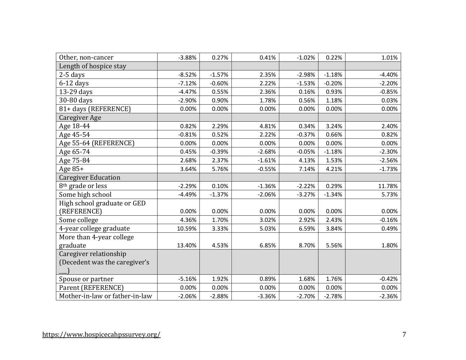| Other, non-cancer              | $-3.88%$ | 0.27%    | 0.41%    | $-1.02%$ | 0.22%    | 1.01%    |
|--------------------------------|----------|----------|----------|----------|----------|----------|
| Length of hospice stay         |          |          |          |          |          |          |
| $2-5$ days                     | $-8.52%$ | $-1.57%$ | 2.35%    | $-2.98%$ | $-1.18%$ | $-4.40%$ |
| $6-12$ days                    | $-7.12%$ | $-0.60%$ | 2.22%    | $-1.53%$ | $-0.20%$ | $-2.20%$ |
| 13-29 days                     | $-4.47%$ | 0.55%    | 2.36%    | 0.16%    | 0.93%    | $-0.85%$ |
| 30-80 days                     | $-2.90%$ | 0.90%    | 1.78%    | 0.56%    | 1.18%    | 0.03%    |
| 81+ days (REFERENCE)           | 0.00%    | 0.00%    | 0.00%    | 0.00%    | 0.00%    | 0.00%    |
| <b>Caregiver Age</b>           |          |          |          |          |          |          |
| Age 18-44                      | 0.82%    | 2.29%    | 4.81%    | 0.34%    | 3.24%    | 2.40%    |
| Age 45-54                      | $-0.81%$ | 0.52%    | 2.22%    | $-0.37%$ | 0.66%    | 0.82%    |
| Age 55-64 (REFERENCE)          | 0.00%    | 0.00%    | 0.00%    | 0.00%    | 0.00%    | 0.00%    |
| Age 65-74                      | 0.45%    | $-0.39%$ | $-2.68%$ | $-0.05%$ | $-1.18%$ | $-2.30%$ |
| Age 75-84                      | 2.68%    | 2.37%    | $-1.61%$ | 4.13%    | 1.53%    | $-2.56%$ |
| Age 85+                        | 3.64%    | 5.76%    | $-0.55%$ | 7.14%    | 4.21%    | $-1.73%$ |
| <b>Caregiver Education</b>     |          |          |          |          |          |          |
| 8 <sup>th</sup> grade or less  | $-2.29%$ | 0.10%    | $-1.36%$ | $-2.22%$ | 0.29%    | 11.78%   |
| Some high school               | $-4.49%$ | $-1.37%$ | $-2.06%$ | $-3.27%$ | $-1.34%$ | 5.73%    |
| High school graduate or GED    |          |          |          |          |          |          |
| (REFERENCE)                    | 0.00%    | 0.00%    | 0.00%    | 0.00%    | 0.00%    | 0.00%    |
| Some college                   | 4.36%    | 1.70%    | 3.02%    | 2.92%    | 2.43%    | $-0.16%$ |
| 4-year college graduate        | 10.59%   | 3.33%    | 5.03%    | 6.59%    | 3.84%    | 0.49%    |
| More than 4-year college       |          |          |          |          |          |          |
| graduate                       | 13.40%   | 4.53%    | 6.85%    | 8.70%    | 5.56%    | 1.80%    |
| Caregiver relationship         |          |          |          |          |          |          |
| (Decedent was the caregiver's  |          |          |          |          |          |          |
|                                |          |          |          |          |          |          |
| Spouse or partner              | $-5.16%$ | 1.92%    | 0.89%    | 1.68%    | 1.76%    | $-0.42%$ |
| Parent (REFERENCE)             | 0.00%    | 0.00%    | 0.00%    | 0.00%    | 0.00%    | 0.00%    |
| Mother-in-law or father-in-law | $-2.06%$ | $-2.88%$ | $-3.36%$ | $-2.70%$ | $-2.78%$ | $-2.36%$ |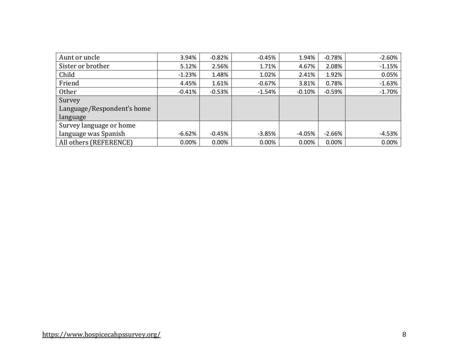| Aunt or uncle              | 3.94%    | $-0.82%$  | $-0.45%$ | 1.94%    | $-0.78%$ | $-2.60%$ |
|----------------------------|----------|-----------|----------|----------|----------|----------|
| Sister or brother          | 5.12%    | 2.56%     | 1.71%    | 4.67%    | 2.08%    | $-1.15%$ |
| Child                      | $-1.23%$ | 1.48%     | 1.02%    | 2.41%    | 1.92%    | 0.05%    |
| Friend                     | 4.45%    | 1.61%     | $-0.67%$ | 3.81%    | 0.78%    | $-1.63%$ |
| Other                      | $-0.41%$ | $-0.53\%$ | $-1.54%$ | $-0.10%$ | $-0.59%$ | $-1.70%$ |
| Survey                     |          |           |          |          |          |          |
| Language/Respondent's home |          |           |          |          |          |          |
| language                   |          |           |          |          |          |          |
| Survey language or home    |          |           |          |          |          |          |
| language was Spanish       | $-6.62%$ | $-0.45%$  | $-3.85%$ | $-4.05%$ | $-2.66%$ | $-4.53%$ |
| All others (REFERENCE)     | 0.00%    | $0.00\%$  | 0.00%    | 0.00%    | 0.00%    | 0.00%    |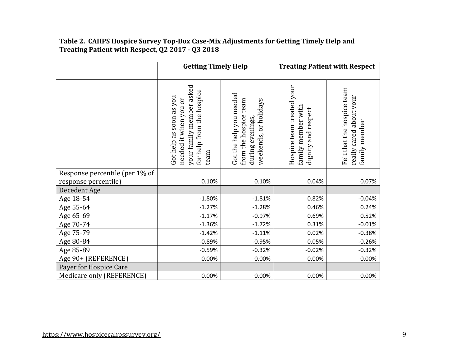#### **Table 2. CAHPS Hospice Survey Top-Box Case-Mix Adjustments for Getting Timely Help and Treating Patient with Respect, Q2 2017 - Q3 2018**

|                                                        | <b>Getting Timely Help</b>                                                                                        |                                                                                               |                                                                        | <b>Treating Patient with Respect</b>                                   |
|--------------------------------------------------------|-------------------------------------------------------------------------------------------------------------------|-----------------------------------------------------------------------------------------------|------------------------------------------------------------------------|------------------------------------------------------------------------|
|                                                        | your family member asked<br>for help from the hospice<br>Got help as soon as you<br>needed it when you or<br>team | Got the help you needed<br>from the hospice team<br>weekends, or holidays<br>during evenings, | Hospice team treated your<br>family member with<br>dignity and respect | Felt that the hospice team<br>really cared about your<br>family member |
| Response percentile (per 1% of<br>response percentile) | 0.10%                                                                                                             | 0.10%                                                                                         | 0.04%                                                                  | 0.07%                                                                  |
| Decedent Age                                           |                                                                                                                   |                                                                                               |                                                                        |                                                                        |
| Age 18-54                                              | $-1.80%$                                                                                                          | $-1.81%$                                                                                      | 0.82%                                                                  | $-0.04%$                                                               |
| Age 55-64                                              | $-1.27%$                                                                                                          | $-1.28%$                                                                                      | 0.46%                                                                  | 0.24%                                                                  |
| Age 65-69                                              | $-1.17%$                                                                                                          | $-0.97%$                                                                                      | 0.69%                                                                  | 0.52%                                                                  |
| Age 70-74                                              | $-1.36%$                                                                                                          | $-1.72%$                                                                                      | 0.31%                                                                  | $-0.01%$                                                               |
| Age 75-79                                              | $-1.42%$                                                                                                          | $-1.11%$                                                                                      | 0.02%                                                                  | $-0.38%$                                                               |
| Age 80-84                                              | $-0.89%$                                                                                                          | $-0.95%$                                                                                      | 0.05%                                                                  | $-0.26%$                                                               |
| Age 85-89                                              | $-0.59%$                                                                                                          | $-0.32%$                                                                                      | $-0.02%$                                                               | $-0.32%$                                                               |
| Age 90+ (REFERENCE)                                    | 0.00%                                                                                                             | 0.00%                                                                                         | 0.00%                                                                  | 0.00%                                                                  |
| Payer for Hospice Care                                 |                                                                                                                   |                                                                                               |                                                                        |                                                                        |
| Medicare only (REFERENCE)                              | 0.00%                                                                                                             | 0.00%                                                                                         | 0.00%                                                                  | 0.00%                                                                  |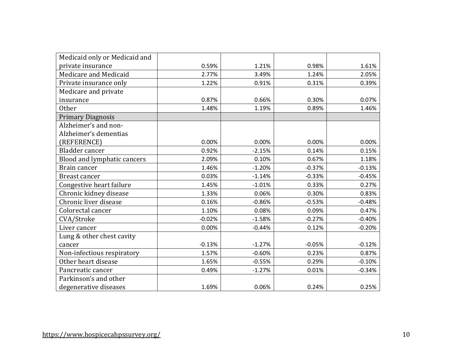| Medicaid only or Medicaid and |          |          |          |          |
|-------------------------------|----------|----------|----------|----------|
| private insurance             | 0.59%    | 1.21%    | 0.98%    | 1.61%    |
| Medicare and Medicaid         | 2.77%    | 3.49%    | 1.24%    | 2.05%    |
| Private insurance only        | 1.22%    | 0.91%    | 0.31%    | 0.39%    |
| Medicare and private          |          |          |          |          |
| insurance                     | 0.87%    | 0.66%    | 0.30%    | 0.07%    |
| Other                         | 1.48%    | 1.19%    | 0.89%    | 1.46%    |
| <b>Primary Diagnosis</b>      |          |          |          |          |
| Alzheimer's and non-          |          |          |          |          |
| Alzheimer's dementias         |          |          |          |          |
| (REFERENCE)                   | 0.00%    | 0.00%    | 0.00%    | 0.00%    |
| Bladder cancer                | 0.92%    | $-2.15%$ | 0.14%    | 0.15%    |
| Blood and lymphatic cancers   | 2.09%    | 0.10%    | 0.67%    | 1.18%    |
| Brain cancer                  | 1.46%    | $-1.20%$ | $-0.37%$ | $-0.13%$ |
| <b>Breast cancer</b>          | 0.03%    | $-1.14%$ | $-0.33%$ | $-0.45%$ |
| Congestive heart failure      | 1.45%    | $-1.01%$ | 0.33%    | 0.27%    |
| Chronic kidney disease        | 1.33%    | 0.06%    | 0.30%    | 0.83%    |
| Chronic liver disease         | 0.16%    | $-0.86%$ | $-0.53%$ | $-0.48%$ |
| Colorectal cancer             | 1.10%    | 0.08%    | 0.09%    | 0.47%    |
| CVA/Stroke                    | $-0.02%$ | $-1.58%$ | $-0.27%$ | $-0.40%$ |
| Liver cancer                  | 0.00%    | $-0.44%$ | 0.12%    | $-0.20%$ |
| Lung & other chest cavity     |          |          |          |          |
| cancer                        | $-0.13%$ | $-1.27%$ | $-0.05%$ | $-0.12%$ |
| Non-infectious respiratory    | 1.57%    | $-0.60%$ | 0.23%    | 0.87%    |
| Other heart disease           | 1.65%    | $-0.55%$ | 0.29%    | $-0.10%$ |
| Pancreatic cancer             | 0.49%    | $-1.27%$ | 0.01%    | $-0.34%$ |
| Parkinson's and other         |          |          |          |          |
| degenerative diseases         | 1.69%    | 0.06%    | 0.24%    | 0.25%    |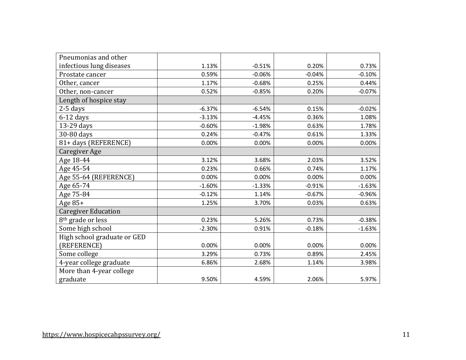| Pneumonias and other          |          |          |          |          |
|-------------------------------|----------|----------|----------|----------|
| infectious lung diseases      | 1.13%    | $-0.51%$ | 0.20%    | 0.73%    |
| Prostate cancer               | 0.59%    | $-0.06%$ | $-0.04%$ | $-0.10%$ |
| Other, cancer                 | 1.17%    | $-0.68%$ | 0.25%    | 0.44%    |
| Other, non-cancer             | 0.52%    | $-0.85%$ | 0.20%    | $-0.07%$ |
| Length of hospice stay        |          |          |          |          |
| $2-5$ days                    | $-6.37%$ | $-6.54%$ | 0.15%    | $-0.02%$ |
| $6-12$ days                   | $-3.13%$ | $-4.45%$ | 0.36%    | 1.08%    |
| 13-29 days                    | $-0.60%$ | $-1.98%$ | 0.63%    | 1.78%    |
| 30-80 days                    | 0.24%    | $-0.47%$ | 0.61%    | 1.33%    |
| 81+ days (REFERENCE)          | 0.00%    | 0.00%    | 0.00%    | 0.00%    |
| <b>Caregiver Age</b>          |          |          |          |          |
| Age 18-44                     | 3.12%    | 3.68%    | 2.03%    | 3.52%    |
| Age 45-54                     | 0.23%    | 0.66%    | 0.74%    | 1.17%    |
| Age 55-64 (REFERENCE)         | 0.00%    | 0.00%    | 0.00%    | 0.00%    |
| Age 65-74                     | $-1.60%$ | $-1.33%$ | $-0.91%$ | $-1.63%$ |
| Age 75-84                     | $-0.12%$ | 1.14%    | $-0.67%$ | $-0.96%$ |
| Age 85+                       | 1.25%    | 3.70%    | 0.03%    | 0.63%    |
| <b>Caregiver Education</b>    |          |          |          |          |
| 8 <sup>th</sup> grade or less | 0.23%    | 5.26%    | 0.73%    | $-0.38%$ |
| Some high school              | $-2.30%$ | 0.91%    | $-0.18%$ | $-1.63%$ |
| High school graduate or GED   |          |          |          |          |
| (REFERENCE)                   | 0.00%    | 0.00%    | 0.00%    | 0.00%    |
| Some college                  | 3.29%    | 0.73%    | 0.89%    | 2.45%    |
| 4-year college graduate       | 6.86%    | 2.68%    | 1.14%    | 3.98%    |
| More than 4-year college      |          |          |          |          |
| graduate                      | 9.50%    | 4.59%    | 2.06%    | 5.97%    |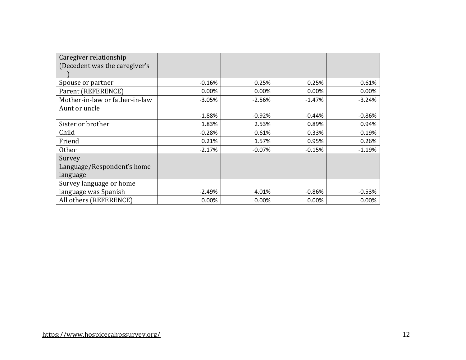| Caregiver relationship         |          |          |          |          |
|--------------------------------|----------|----------|----------|----------|
| (Decedent was the caregiver's  |          |          |          |          |
|                                |          |          |          |          |
| Spouse or partner              | $-0.16%$ | 0.25%    | 0.25%    | 0.61%    |
| Parent (REFERENCE)             | 0.00%    | 0.00%    | 0.00%    | 0.00%    |
| Mother-in-law or father-in-law | $-3.05%$ | $-2.56%$ | $-1.47%$ | $-3.24%$ |
| Aunt or uncle                  |          |          |          |          |
|                                | $-1.88%$ | $-0.92%$ | $-0.44%$ | $-0.86%$ |
| Sister or brother              | 1.83%    | 2.53%    | 0.89%    | 0.94%    |
| Child                          | $-0.28%$ | 0.61%    | 0.33%    | 0.19%    |
| Friend                         | 0.21%    | 1.57%    | 0.95%    | 0.26%    |
| <b>Other</b>                   | $-2.17%$ | $-0.07%$ | $-0.15%$ | $-1.19%$ |
| Survey                         |          |          |          |          |
| Language/Respondent's home     |          |          |          |          |
| language                       |          |          |          |          |
| Survey language or home        |          |          |          |          |
| language was Spanish           | $-2.49%$ | 4.01%    | $-0.86%$ | $-0.53%$ |
| All others (REFERENCE)         | 0.00%    | 0.00%    | 0.00%    | 0.00%    |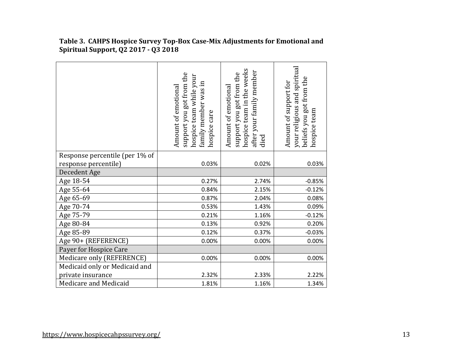|                                | support you got from the<br>hospice team while your<br>family member was in<br>Amount of emotional<br>hospice care | hospice team in the weeks<br>after your family member<br>support you got from the<br>Amount of emotional<br>died | your religious and spiritual<br>beliefs you got from the<br>Amount of support for<br>hospice team |
|--------------------------------|--------------------------------------------------------------------------------------------------------------------|------------------------------------------------------------------------------------------------------------------|---------------------------------------------------------------------------------------------------|
| Response percentile (per 1% of |                                                                                                                    |                                                                                                                  |                                                                                                   |
| response percentile)           | 0.03%                                                                                                              | 0.02%                                                                                                            | 0.03%                                                                                             |
| Decedent Age                   |                                                                                                                    |                                                                                                                  |                                                                                                   |
| Age 18-54                      | 0.27%                                                                                                              | 2.74%                                                                                                            | $-0.85%$                                                                                          |
| Age 55-64                      | 0.84%                                                                                                              | 2.15%                                                                                                            | $-0.12%$                                                                                          |
| Age 65-69                      | 0.87%                                                                                                              | 2.04%                                                                                                            | 0.08%                                                                                             |
| Age 70-74                      | 0.53%                                                                                                              | 1.43%                                                                                                            | 0.09%                                                                                             |
| Age 75-79                      | 0.21%                                                                                                              | 1.16%                                                                                                            | $-0.12%$                                                                                          |
| Age 80-84                      | 0.13%                                                                                                              | 0.92%                                                                                                            | 0.20%                                                                                             |
| Age 85-89                      | 0.12%                                                                                                              | 0.37%                                                                                                            | $-0.03%$                                                                                          |
| Age 90+ (REFERENCE)            | 0.00%                                                                                                              | 0.00%                                                                                                            | 0.00%                                                                                             |
| Payer for Hospice Care         |                                                                                                                    |                                                                                                                  |                                                                                                   |
| Medicare only (REFERENCE)      | 0.00%                                                                                                              | 0.00%                                                                                                            | 0.00%                                                                                             |
| Medicaid only or Medicaid and  |                                                                                                                    |                                                                                                                  |                                                                                                   |
| private insurance              | 2.32%                                                                                                              | 2.33%                                                                                                            | 2.22%                                                                                             |
| Medicare and Medicaid          | 1.81%                                                                                                              | 1.16%                                                                                                            | 1.34%                                                                                             |

**Table 3. CAHPS Hospice Survey Top-Box Case-Mix Adjustments for Emotional and Spiritual Support, Q2 2017 - Q3 2018**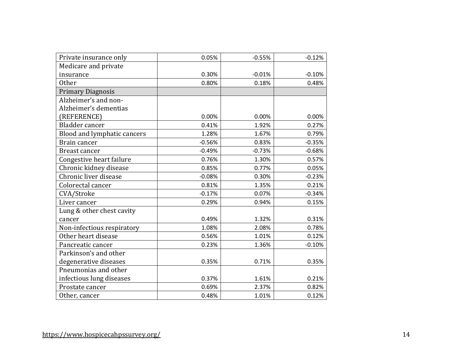| Private insurance only      | 0.05%    | $-0.55%$ | $-0.12%$ |
|-----------------------------|----------|----------|----------|
| Medicare and private        |          |          |          |
| insurance                   | 0.30%    | $-0.01%$ | $-0.10%$ |
| <b>Other</b>                | 0.80%    | 0.18%    | 0.48%    |
| <b>Primary Diagnosis</b>    |          |          |          |
| Alzheimer's and non-        |          |          |          |
| Alzheimer's dementias       |          |          |          |
| (REFERENCE)                 | 0.00%    | 0.00%    | 0.00%    |
| Bladder cancer              | 0.41%    | 1.92%    | 0.27%    |
| Blood and lymphatic cancers | 1.28%    | 1.67%    | 0.79%    |
| Brain cancer                | $-0.56%$ | 0.83%    | $-0.35%$ |
| Breast cancer               | $-0.49%$ | $-0.73%$ | $-0.68%$ |
| Congestive heart failure    | 0.76%    | 1.30%    | 0.57%    |
| Chronic kidney disease      | 0.85%    | 0.77%    | 0.05%    |
| Chronic liver disease       | $-0.08%$ | 0.30%    | $-0.23%$ |
| Colorectal cancer           | 0.81%    | 1.35%    | 0.21%    |
| CVA/Stroke                  | $-0.17%$ | 0.07%    | $-0.34%$ |
| Liver cancer                | 0.29%    | 0.94%    | 0.15%    |
| Lung & other chest cavity   |          |          |          |
| cancer                      | 0.49%    | 1.32%    | 0.31%    |
| Non-infectious respiratory  | 1.08%    | 2.08%    | 0.78%    |
| Other heart disease         | 0.56%    | 1.01%    | 0.12%    |
| Pancreatic cancer           | 0.23%    | 1.36%    | $-0.10%$ |
| Parkinson's and other       |          |          |          |
| degenerative diseases       | 0.35%    | 0.71%    | 0.35%    |
| Pneumonias and other        |          |          |          |
| infectious lung diseases    | 0.37%    | 1.61%    | 0.21%    |
| Prostate cancer             | 0.69%    | 2.37%    | 0.82%    |
| Other, cancer               | 0.48%    | 1.01%    | 0.12%    |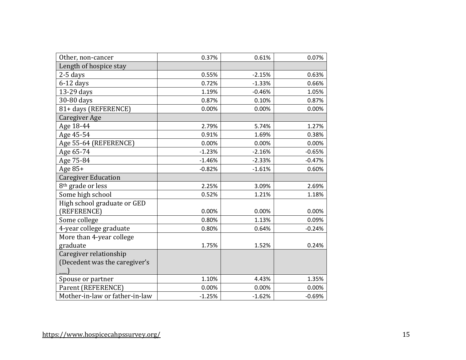| Other, non-cancer              | 0.37%    | 0.61%    | 0.07%    |
|--------------------------------|----------|----------|----------|
| Length of hospice stay         |          |          |          |
| $2-5$ days                     | 0.55%    | $-2.15%$ | 0.63%    |
| $6-12$ days                    | 0.72%    | $-1.33%$ | 0.66%    |
| 13-29 days                     | 1.19%    | $-0.46%$ | 1.05%    |
| 30-80 days                     | 0.87%    | 0.10%    | 0.87%    |
| 81+ days (REFERENCE)           | 0.00%    | 0.00%    | 0.00%    |
| <b>Caregiver Age</b>           |          |          |          |
| Age 18-44                      | 2.79%    | 5.74%    | 1.27%    |
| Age 45-54                      | 0.91%    | 1.69%    | 0.38%    |
| Age 55-64 (REFERENCE)          | 0.00%    | 0.00%    | 0.00%    |
| Age 65-74                      | $-1.23%$ | $-2.16%$ | $-0.65%$ |
| Age 75-84                      | $-1.46%$ | $-2.33%$ | $-0.47%$ |
| Age 85+                        | $-0.82%$ | $-1.61%$ | 0.60%    |
| <b>Caregiver Education</b>     |          |          |          |
| 8 <sup>th</sup> grade or less  | 2.25%    | 3.09%    | 2.69%    |
| Some high school               | 0.52%    | 1.21%    | 1.18%    |
| High school graduate or GED    |          |          |          |
| (REFERENCE)                    | 0.00%    | 0.00%    | 0.00%    |
| Some college                   | 0.80%    | 1.13%    | 0.09%    |
| 4-year college graduate        | 0.80%    | 0.64%    | $-0.24%$ |
| More than 4-year college       |          |          |          |
| graduate                       | 1.75%    | 1.52%    | 0.24%    |
| Caregiver relationship         |          |          |          |
| (Decedent was the caregiver's  |          |          |          |
|                                |          |          |          |
| Spouse or partner              | 1.10%    | 4.43%    | 1.35%    |
| Parent (REFERENCE)             | 0.00%    | 0.00%    | 0.00%    |
| Mother-in-law or father-in-law | $-1.25%$ | $-1.62%$ | $-0.69%$ |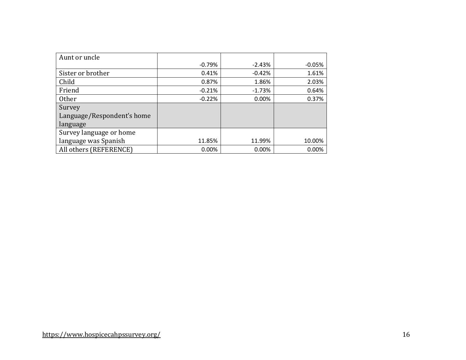| Aunt or uncle              |          |          |          |
|----------------------------|----------|----------|----------|
|                            | $-0.79%$ | $-2.43%$ | $-0.05%$ |
| Sister or brother          | 0.41%    | $-0.42%$ | 1.61%    |
| Child                      | 0.87%    | 1.86%    | 2.03%    |
| Friend                     | $-0.21%$ | $-1.73%$ | 0.64%    |
| Other                      | $-0.22%$ | 0.00%    | 0.37%    |
| Survey                     |          |          |          |
| Language/Respondent's home |          |          |          |
| language                   |          |          |          |
| Survey language or home    |          |          |          |
| language was Spanish       | 11.85%   | 11.99%   | 10.00%   |
| All others (REFERENCE)     | 0.00%    | 0.00%    | 0.00%    |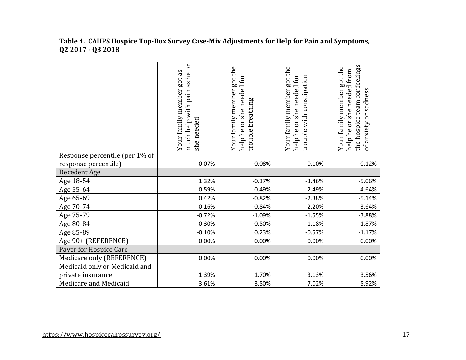#### **Table 4. CAHPS Hospice Top-Box Survey Case-Mix Adjustments for Help for Pain and Symptoms, Q2 2017 - Q3 2018**

|                                | as he or<br>got as<br>Your family member<br>pain<br>much help with<br>she needed | Your family member got the<br>help he or she needed for<br>breathing<br>rouble | Your family member got the<br>help he or she needed for<br>with constipation<br>rouble | the hospice team for feelings<br>Your family member got the<br>she needed from<br>of anxiety or sadness<br>nelp he or |
|--------------------------------|----------------------------------------------------------------------------------|--------------------------------------------------------------------------------|----------------------------------------------------------------------------------------|-----------------------------------------------------------------------------------------------------------------------|
| Response percentile (per 1% of |                                                                                  |                                                                                |                                                                                        |                                                                                                                       |
| response percentile)           | 0.07%                                                                            | 0.08%                                                                          | 0.10%                                                                                  | 0.12%                                                                                                                 |
| Decedent Age                   |                                                                                  |                                                                                |                                                                                        |                                                                                                                       |
| Age 18-54                      | 1.32%                                                                            | $-0.37%$                                                                       | $-3.46%$                                                                               | $-5.06%$                                                                                                              |
| Age 55-64                      | 0.59%                                                                            | $-0.49%$                                                                       | $-2.49%$                                                                               | $-4.64%$                                                                                                              |
| Age 65-69                      | 0.42%                                                                            | $-0.82%$                                                                       | $-2.38%$                                                                               | $-5.14%$                                                                                                              |
| Age 70-74                      | $-0.16%$                                                                         | $-0.84%$                                                                       | $-2.20%$                                                                               | $-3.64%$                                                                                                              |
| Age 75-79                      | $-0.72%$                                                                         | $-1.09%$                                                                       | $-1.55%$                                                                               | $-3.88%$                                                                                                              |
| Age 80-84                      | $-0.30%$                                                                         | $-0.50%$                                                                       | $-1.18%$                                                                               | $-1.87%$                                                                                                              |
| Age 85-89                      | $-0.10%$                                                                         | 0.23%                                                                          | $-0.57%$                                                                               | $-1.17%$                                                                                                              |
| Age 90+ (REFERENCE)            | 0.00%                                                                            | 0.00%                                                                          | 0.00%                                                                                  | 0.00%                                                                                                                 |
| Payer for Hospice Care         |                                                                                  |                                                                                |                                                                                        |                                                                                                                       |
| Medicare only (REFERENCE)      | 0.00%                                                                            | 0.00%                                                                          | 0.00%                                                                                  | 0.00%                                                                                                                 |
| Medicaid only or Medicaid and  |                                                                                  |                                                                                |                                                                                        |                                                                                                                       |
| private insurance              | 1.39%                                                                            | 1.70%                                                                          | 3.13%                                                                                  | 3.56%                                                                                                                 |
| Medicare and Medicaid          | 3.61%                                                                            | 3.50%                                                                          | 7.02%                                                                                  | 5.92%                                                                                                                 |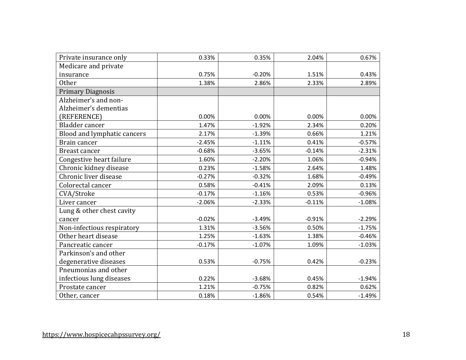| Private insurance only      | 0.33%    | 0.35%    | 2.04%    | 0.67%    |
|-----------------------------|----------|----------|----------|----------|
| Medicare and private        |          |          |          |          |
| insurance                   | 0.75%    | $-0.20%$ | 1.51%    | 0.43%    |
| <b>Other</b>                | 1.38%    | 2.86%    | 2.33%    | 2.89%    |
| <b>Primary Diagnosis</b>    |          |          |          |          |
| Alzheimer's and non-        |          |          |          |          |
| Alzheimer's dementias       |          |          |          |          |
| (REFERENCE)                 | 0.00%    | 0.00%    | 0.00%    | 0.00%    |
| Bladder cancer              | 1.47%    | $-1.92%$ | 2.34%    | 0.20%    |
| Blood and lymphatic cancers | 2.17%    | $-1.39%$ | 0.66%    | 1.21%    |
| Brain cancer                | $-2.45%$ | $-1.11%$ | 0.41%    | $-0.57%$ |
| <b>Breast cancer</b>        | $-0.68%$ | $-3.65%$ | $-0.14%$ | $-2.31%$ |
| Congestive heart failure    | 1.60%    | $-2.20%$ | 1.06%    | $-0.94%$ |
| Chronic kidney disease      | 0.23%    | $-1.58%$ | 2.64%    | 1.48%    |
| Chronic liver disease       | $-0.27%$ | $-0.32%$ | 1.68%    | $-0.49%$ |
| Colorectal cancer           | 0.58%    | $-0.41%$ | 2.09%    | 0.13%    |
| CVA/Stroke                  | $-0.17%$ | $-1.16%$ | 0.53%    | $-0.96%$ |
| Liver cancer                | $-2.06%$ | $-2.33%$ | $-0.11%$ | $-1.08%$ |
| Lung & other chest cavity   |          |          |          |          |
| cancer                      | $-0.02%$ | $-3.49%$ | $-0.91%$ | $-2.29%$ |
| Non-infectious respiratory  | 1.31%    | $-3.56%$ | 0.50%    | $-1.75%$ |
| Other heart disease         | 1.25%    | $-1.63%$ | 1.38%    | $-0.46%$ |
| Pancreatic cancer           | $-0.17%$ | $-1.07%$ | 1.09%    | $-1.03%$ |
| Parkinson's and other       |          |          |          |          |
| degenerative diseases       | 0.53%    | $-0.75%$ | 0.42%    | $-0.23%$ |
| Pneumonias and other        |          |          |          |          |
| infectious lung diseases    | 0.22%    | $-3.68%$ | 0.45%    | $-1.94%$ |
| Prostate cancer             | 1.21%    | $-0.75%$ | 0.82%    | 0.62%    |
| Other, cancer               | 0.18%    | $-1.86%$ | 0.54%    | $-1.49%$ |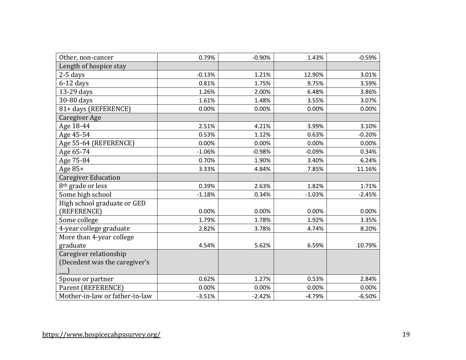| Other, non-cancer              | 0.79%    | $-0.90%$ | 1.43%    | $-0.59%$ |
|--------------------------------|----------|----------|----------|----------|
| Length of hospice stay         |          |          |          |          |
| $2-5$ days                     | $-0.13%$ | 1.21%    | 12.90%   | 3.01%    |
| $6-12$ days                    | 0.81%    | 1.75%    | 9.75%    | 3.59%    |
| 13-29 days                     | 1.26%    | 2.00%    | 6.48%    | 3.86%    |
| 30-80 days                     | 1.61%    | 1.48%    | 3.55%    | 3.07%    |
| 81+ days (REFERENCE)           | 0.00%    | 0.00%    | 0.00%    | 0.00%    |
| Caregiver Age                  |          |          |          |          |
| Age 18-44                      | 2.51%    | 4.21%    | 3.99%    | 3.10%    |
| Age 45-54                      | 0.53%    | 1.12%    | 0.63%    | $-0.20%$ |
| Age 55-64 (REFERENCE)          | 0.00%    | 0.00%    | 0.00%    | 0.00%    |
| Age 65-74                      | $-1.06%$ | $-0.98%$ | $-0.09%$ | 0.34%    |
| Age 75-84                      | 0.70%    | 1.90%    | 3.40%    | 6.24%    |
| Age 85+                        | 3.33%    | 4.84%    | 7.85%    | 11.16%   |
| <b>Caregiver Education</b>     |          |          |          |          |
| 8 <sup>th</sup> grade or less  | 0.39%    | 2.63%    | 1.82%    | 1.71%    |
| Some high school               | $-1.18%$ | 0.34%    | $-1.03%$ | $-2.45%$ |
| High school graduate or GED    |          |          |          |          |
| (REFERENCE)                    | 0.00%    | 0.00%    | 0.00%    | 0.00%    |
| Some college                   | 1.79%    | 1.78%    | 1.92%    | 3.35%    |
| 4-year college graduate        | 2.82%    | 3.78%    | 4.74%    | 8.20%    |
| More than 4-year college       |          |          |          |          |
| graduate                       | 4.54%    | 5.62%    | 6.59%    | 10.79%   |
| Caregiver relationship         |          |          |          |          |
| (Decedent was the caregiver's  |          |          |          |          |
|                                |          |          |          |          |
| Spouse or partner              | 0.62%    | 1.27%    | 0.53%    | 2.84%    |
| Parent (REFERENCE)             | 0.00%    | 0.00%    | 0.00%    | 0.00%    |
| Mother-in-law or father-in-law | $-3.51%$ | $-2.42%$ | $-4.79%$ | $-6.50%$ |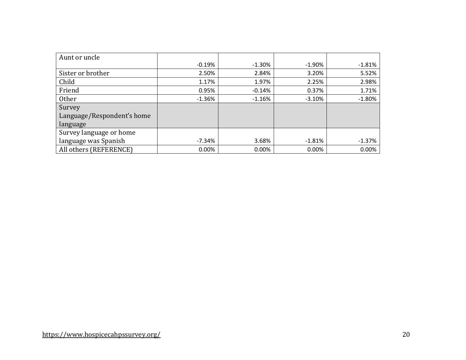| Aunt or uncle              |          |           |           |          |
|----------------------------|----------|-----------|-----------|----------|
|                            | $-0.19%$ | $-1.30\%$ | $-1.90\%$ | $-1.81%$ |
| Sister or brother          | 2.50%    | 2.84%     | 3.20%     | 5.52%    |
| Child                      | 1.17%    | 1.97%     | 2.25%     | 2.98%    |
| Friend                     | 0.95%    | $-0.14%$  | 0.37%     | 1.71%    |
| <b>Other</b>               | $-1.36%$ | $-1.16%$  | $-3.10%$  | $-1.80%$ |
| Survey                     |          |           |           |          |
| Language/Respondent's home |          |           |           |          |
| language                   |          |           |           |          |
| Survey language or home    |          |           |           |          |
| language was Spanish       | -7.34%   | 3.68%     | $-1.81\%$ | $-1.37%$ |
| All others (REFERENCE)     | 0.00%    | 0.00%     | 0.00%     | 0.00%    |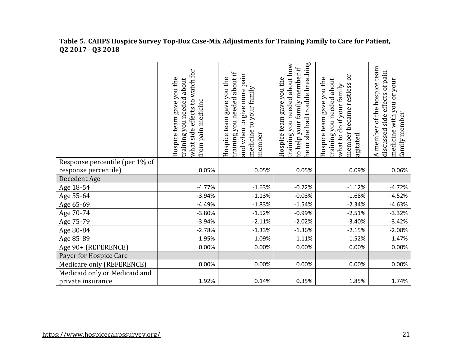|                                | what side effects to watch for<br>Hospice team gave you the<br>training you needed about<br>pain medicine<br>from | training you needed about if<br>and when to give more pain<br>Hospice team gave you the<br>medicine to your family<br>member | he or she had trouble breathing<br>training you needed about how<br>to help your family member if<br>Hospice team gave you the | ör<br>Hospice team gave you the<br>about<br>member became restless<br>what to do if your family<br>training you needed<br>agitated | A member of the hospice team<br>side effects of pain<br>medicine with you or your<br>family member<br>discussed |
|--------------------------------|-------------------------------------------------------------------------------------------------------------------|------------------------------------------------------------------------------------------------------------------------------|--------------------------------------------------------------------------------------------------------------------------------|------------------------------------------------------------------------------------------------------------------------------------|-----------------------------------------------------------------------------------------------------------------|
| Response percentile (per 1% of |                                                                                                                   |                                                                                                                              |                                                                                                                                |                                                                                                                                    |                                                                                                                 |
| response percentile)           | 0.05%                                                                                                             | 0.05%                                                                                                                        | 0.05%                                                                                                                          | 0.09%                                                                                                                              | 0.06%                                                                                                           |
| Decedent Age                   |                                                                                                                   |                                                                                                                              |                                                                                                                                |                                                                                                                                    |                                                                                                                 |
| Age 18-54                      | $-4.77%$                                                                                                          | $-1.63%$                                                                                                                     | $-0.22%$                                                                                                                       | $-1.12%$                                                                                                                           | $-4.72%$                                                                                                        |
| Age 55-64                      | $-3.94%$                                                                                                          | $-1.13%$                                                                                                                     | $-0.03%$                                                                                                                       | $-1.68%$                                                                                                                           | $-4.52%$                                                                                                        |
| Age 65-69                      | $-4.49%$                                                                                                          | $-1.83%$                                                                                                                     | $-1.54%$                                                                                                                       | $-2.34%$                                                                                                                           | $-4.63%$                                                                                                        |
| Age 70-74                      | $-3.80%$                                                                                                          | $-1.52%$                                                                                                                     | $-0.99%$                                                                                                                       | $-2.51%$                                                                                                                           | $-3.32%$                                                                                                        |
| Age 75-79                      | $-3.94%$                                                                                                          | $-2.11%$                                                                                                                     | $-2.02%$                                                                                                                       | $-3.40%$                                                                                                                           | $-3.42%$                                                                                                        |
| Age 80-84                      | $-2.78%$                                                                                                          | $-1.33%$                                                                                                                     | $-1.36%$                                                                                                                       | $-2.15%$                                                                                                                           | $-2.08%$                                                                                                        |
| Age 85-89                      | $-1.95%$                                                                                                          | $-1.09%$                                                                                                                     | $-1.11%$                                                                                                                       | $-1.52%$                                                                                                                           | $-1.47%$                                                                                                        |
| Age 90+ (REFERENCE)            | 0.00%                                                                                                             | 0.00%                                                                                                                        | 0.00%                                                                                                                          | 0.00%                                                                                                                              | 0.00%                                                                                                           |
| Payer for Hospice Care         |                                                                                                                   |                                                                                                                              |                                                                                                                                |                                                                                                                                    |                                                                                                                 |
| Medicare only (REFERENCE)      | 0.00%                                                                                                             | 0.00%                                                                                                                        | 0.00%                                                                                                                          | 0.00%                                                                                                                              | 0.00%                                                                                                           |
| Medicaid only or Medicaid and  |                                                                                                                   |                                                                                                                              |                                                                                                                                |                                                                                                                                    |                                                                                                                 |
| private insurance              | 1.92%                                                                                                             | 0.14%                                                                                                                        | 0.35%                                                                                                                          | 1.85%                                                                                                                              | 1.74%                                                                                                           |

#### **Table 5. CAHPS Hospice Survey Top-Box Case-Mix Adjustments for Training Family to Care for Patient, Q2 2017 - Q3 2018**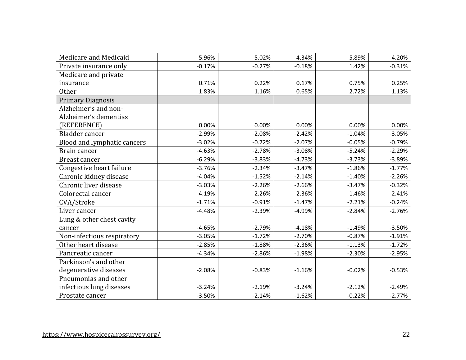| Medicare and Medicaid       | 5.96%    | 5.02%    | 4.34%    | 5.89%    | 4.20%    |
|-----------------------------|----------|----------|----------|----------|----------|
| Private insurance only      | $-0.17%$ | $-0.27%$ | $-0.18%$ | 1.42%    | $-0.31%$ |
| Medicare and private        |          |          |          |          |          |
| insurance                   | 0.71%    | 0.22%    | 0.17%    | 0.75%    | 0.25%    |
| <b>Other</b>                | 1.83%    | 1.16%    | 0.65%    | 2.72%    | 1.13%    |
| <b>Primary Diagnosis</b>    |          |          |          |          |          |
| Alzheimer's and non-        |          |          |          |          |          |
| Alzheimer's dementias       |          |          |          |          |          |
| (REFERENCE)                 | 0.00%    | 0.00%    | 0.00%    | 0.00%    | 0.00%    |
| Bladder cancer              | $-2.99%$ | $-2.08%$ | $-2.42%$ | $-1.04%$ | $-3.05%$ |
| Blood and lymphatic cancers | $-3.02%$ | $-0.72%$ | $-2.07%$ | $-0.05%$ | $-0.79%$ |
| Brain cancer                | $-4.63%$ | $-2.78%$ | $-3.08%$ | $-5.24%$ | $-2.29%$ |
| <b>Breast cancer</b>        | $-6.29%$ | $-3.83%$ | $-4.73%$ | $-3.73%$ | $-3.89%$ |
| Congestive heart failure    | $-3.76%$ | $-2.34%$ | $-3.47%$ | $-1.86%$ | $-1.77%$ |
| Chronic kidney disease      | $-4.04%$ | $-1.52%$ | $-2.14%$ | $-1.40%$ | $-2.26%$ |
| Chronic liver disease       | $-3.03%$ | $-2.26%$ | $-2.66%$ | $-3.47%$ | $-0.32%$ |
| Colorectal cancer           | $-4.19%$ | $-2.26%$ | $-2.36%$ | $-1.46%$ | $-2.41%$ |
| CVA/Stroke                  | $-1.71%$ | $-0.91%$ | $-1.47%$ | $-2.21%$ | $-0.24%$ |
| Liver cancer                | $-4.48%$ | $-2.39%$ | $-4.99%$ | $-2.84%$ | $-2.76%$ |
| Lung & other chest cavity   |          |          |          |          |          |
| cancer                      | $-4.65%$ | $-2.79%$ | $-4.18%$ | $-1.49%$ | $-3.50%$ |
| Non-infectious respiratory  | $-3.05%$ | $-1.72%$ | $-2.70%$ | $-0.87%$ | $-1.91%$ |
| Other heart disease         | $-2.85%$ | $-1.88%$ | $-2.36%$ | $-1.13%$ | $-1.72%$ |
| Pancreatic cancer           | $-4.34%$ | $-2.86%$ | $-1.98%$ | $-2.30%$ | $-2.95%$ |
| Parkinson's and other       |          |          |          |          |          |
| degenerative diseases       | $-2.08%$ | $-0.83%$ | $-1.16%$ | $-0.02%$ | $-0.53%$ |
| Pneumonias and other        |          |          |          |          |          |
| infectious lung diseases    | $-3.24%$ | $-2.19%$ | $-3.24%$ | $-2.12%$ | $-2.49%$ |
| Prostate cancer             | $-3.50%$ | $-2.14%$ | $-1.62%$ | $-0.22%$ | $-2.77%$ |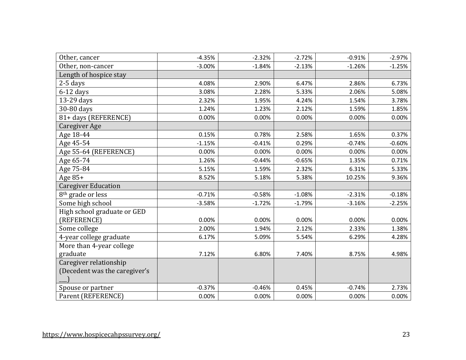| Other, cancer                 | $-4.35%$ | $-2.32%$ | $-2.72%$ | $-0.91%$ | $-2.97%$ |
|-------------------------------|----------|----------|----------|----------|----------|
| Other, non-cancer             | $-3.00%$ | $-1.84%$ | $-2.13%$ | $-1.26%$ | $-1.25%$ |
| Length of hospice stay        |          |          |          |          |          |
| $2-5$ days                    | 4.08%    | 2.90%    | 6.47%    | 2.86%    | 6.73%    |
| $6-12$ days                   | 3.08%    | 2.28%    | 5.33%    | 2.06%    | 5.08%    |
| 13-29 days                    | 2.32%    | 1.95%    | 4.24%    | 1.54%    | 3.78%    |
| 30-80 days                    | 1.24%    | 1.23%    | 2.12%    | 1.59%    | 1.85%    |
| 81+ days (REFERENCE)          | 0.00%    | 0.00%    | 0.00%    | 0.00%    | 0.00%    |
| Caregiver Age                 |          |          |          |          |          |
| Age 18-44                     | 0.15%    | 0.78%    | 2.58%    | 1.65%    | 0.37%    |
| Age 45-54                     | $-1.15%$ | $-0.41%$ | 0.29%    | $-0.74%$ | $-0.60%$ |
| Age 55-64 (REFERENCE)         | 0.00%    | 0.00%    | 0.00%    | 0.00%    | 0.00%    |
| Age 65-74                     | 1.26%    | $-0.44%$ | $-0.65%$ | 1.35%    | 0.71%    |
| Age 75-84                     | 5.15%    | 1.59%    | 2.32%    | 6.31%    | 5.33%    |
| Age $85+$                     | 8.52%    | 5.18%    | 5.38%    | 10.25%   | 9.36%    |
| <b>Caregiver Education</b>    |          |          |          |          |          |
| 8 <sup>th</sup> grade or less | $-0.71%$ | $-0.58%$ | $-1.08%$ | $-2.31%$ | $-0.18%$ |
| Some high school              | $-3.58%$ | $-1.72%$ | $-1.79%$ | $-3.16%$ | $-2.25%$ |
| High school graduate or GED   |          |          |          |          |          |
| (REFERENCE)                   | 0.00%    | 0.00%    | 0.00%    | 0.00%    | 0.00%    |
| Some college                  | 2.00%    | 1.94%    | 2.12%    | 2.33%    | 1.38%    |
| 4-year college graduate       | 6.17%    | 5.09%    | 5.54%    | 6.29%    | 4.28%    |
| More than 4-year college      |          |          |          |          |          |
| graduate                      | 7.12%    | 6.80%    | 7.40%    | 8.75%    | 4.98%    |
| Caregiver relationship        |          |          |          |          |          |
| (Decedent was the caregiver's |          |          |          |          |          |
|                               |          |          |          |          |          |
| Spouse or partner             | $-0.37%$ | $-0.46%$ | 0.45%    | $-0.74%$ | 2.73%    |
| Parent (REFERENCE)            | 0.00%    | 0.00%    | 0.00%    | 0.00%    | 0.00%    |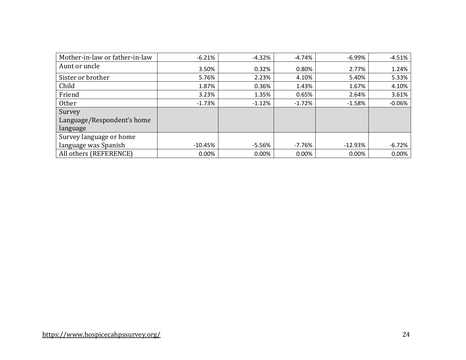| Mother-in-law or father-in-law | $-6.21%$  | $-4.32%$ | $-4.74%$ | $-6.99%$  | $-4.51%$ |
|--------------------------------|-----------|----------|----------|-----------|----------|
| Aunt or uncle                  | 3.50%     | 0.32%    | 0.80%    | 2.77%     | 1.24%    |
| Sister or brother              | 5.76%     | 2.23%    | 4.10%    | 5.40%     | 5.33%    |
| Child                          | 1.87%     | 0.36%    | 1.43%    | 1.67%     | 4.10%    |
| Friend                         | 3.23%     | 1.35%    | 0.65%    | 2.64%     | 3.61%    |
| Other                          | $-1.73%$  | $-1.12%$ | $-1.72%$ | $-1.58%$  | $-0.06%$ |
| Survey                         |           |          |          |           |          |
| Language/Respondent's home     |           |          |          |           |          |
| language                       |           |          |          |           |          |
| Survey language or home        |           |          |          |           |          |
| language was Spanish           | $-10.45%$ | $-5.56%$ | $-7.76%$ | $-12.93%$ | $-6.72%$ |
| All others (REFERENCE)         | 0.00%     | 0.00%    | 0.00%    | 0.00%     | 0.00%    |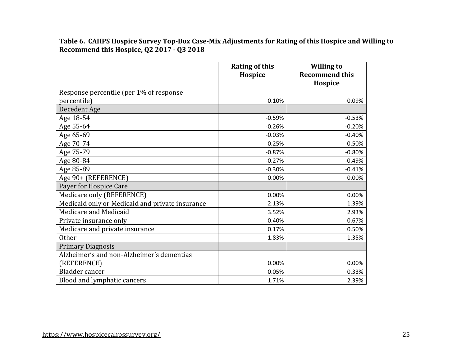**Table 6. CAHPS Hospice Survey Top-Box Case-Mix Adjustments for Rating of this Hospice and Willing to Recommend this Hospice, Q2 2017 - Q3 2018**

|                                                 | <b>Rating of this</b><br>Hospice | <b>Willing to</b><br><b>Recommend this</b> |
|-------------------------------------------------|----------------------------------|--------------------------------------------|
|                                                 |                                  | Hospice                                    |
| Response percentile (per 1% of response         |                                  |                                            |
| percentile)                                     | 0.10%                            | 0.09%                                      |
| Decedent Age                                    |                                  |                                            |
| Age 18-54                                       | $-0.59%$                         | $-0.53%$                                   |
| Age 55-64                                       | $-0.26%$                         | $-0.20%$                                   |
| Age 65-69                                       | $-0.03%$                         | $-0.40%$                                   |
| Age 70-74                                       | $-0.25%$                         | $-0.50%$                                   |
| Age 75-79                                       | $-0.87%$                         | $-0.80%$                                   |
| Age 80-84                                       | $-0.27%$                         | $-0.49%$                                   |
| Age 85-89                                       | $-0.30%$                         | $-0.41%$                                   |
| Age 90+ (REFERENCE)                             | 0.00%                            | 0.00%                                      |
| Payer for Hospice Care                          |                                  |                                            |
| Medicare only (REFERENCE)                       | 0.00%                            | 0.00%                                      |
| Medicaid only or Medicaid and private insurance | 2.13%                            | 1.39%                                      |
| Medicare and Medicaid                           | 3.52%                            | 2.93%                                      |
| Private insurance only                          | 0.40%                            | 0.67%                                      |
| Medicare and private insurance                  | 0.17%                            | 0.50%                                      |
| Other                                           | 1.83%                            | 1.35%                                      |
| <b>Primary Diagnosis</b>                        |                                  |                                            |
| Alzheimer's and non-Alzheimer's dementias       |                                  |                                            |
| (REFERENCE)                                     | 0.00%                            | 0.00%                                      |
| Bladder cancer                                  | 0.05%                            | 0.33%                                      |
| Blood and lymphatic cancers                     | 1.71%                            | 2.39%                                      |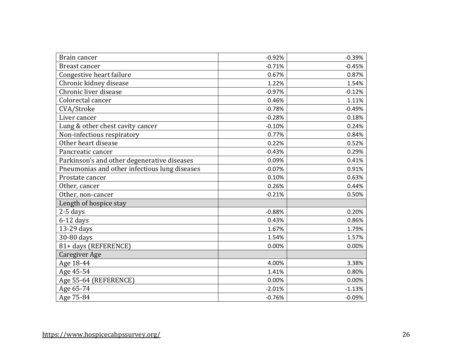| Brain cancer                                  | $-0.92%$ | $-0.39%$ |
|-----------------------------------------------|----------|----------|
| Breast cancer                                 | $-0.71%$ | $-0.45%$ |
| Congestive heart failure                      | 0.67%    | 0.87%    |
| Chronic kidney disease                        | 1.22%    | 1.54%    |
| Chronic liver disease                         | $-0.97%$ | $-0.12%$ |
| Colorectal cancer                             | 0.46%    | 1.11%    |
| CVA/Stroke                                    | $-0.78%$ | $-0.49%$ |
| Liver cancer                                  | $-0.28%$ | 0.18%    |
| Lung & other chest cavity cancer              | $-0.10%$ | 0.24%    |
| Non-infectious respiratory                    | 0.77%    | 0.84%    |
| Other heart disease                           | 0.22%    | 0.52%    |
| Pancreatic cancer                             | $-0.43%$ | 0.29%    |
| Parkinson's and other degenerative diseases   | 0.09%    | 0.41%    |
| Pneumonias and other infectious lung diseases | $-0.07%$ | 0.91%    |
| Prostate cancer                               | 0.10%    | 0.63%    |
| Other, cancer                                 | 0.26%    | 0.44%    |
| Other, non-cancer                             | $-0.21%$ | 0.50%    |
| Length of hospice stay                        |          |          |
| 2-5 days                                      | $-0.88%$ | 0.20%    |
| $6-12$ days                                   | 0.43%    | 0.86%    |
| 13-29 days                                    | 1.67%    | 1.79%    |
| 30-80 days                                    | 1.54%    | 1.57%    |
| 81+ days (REFERENCE)                          | 0.00%    | 0.00%    |
| <b>Caregiver Age</b>                          |          |          |
| Age 18-44                                     | 4.00%    | 3.38%    |
| Age 45-54                                     | 1.41%    | 0.80%    |
| Age 55-64 (REFERENCE)                         | 0.00%    | 0.00%    |
| Age 65-74                                     | $-2.01%$ | $-1.13%$ |
| Age 75-84                                     | $-0.76%$ | $-0.09%$ |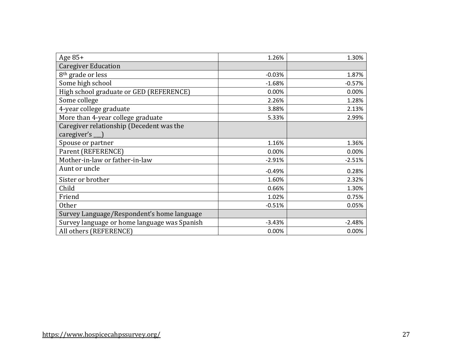| Age 85+                                      | 1.26%    | 1.30%    |
|----------------------------------------------|----------|----------|
| <b>Caregiver Education</b>                   |          |          |
| 8 <sup>th</sup> grade or less                | $-0.03%$ | 1.87%    |
| Some high school                             | $-1.68%$ | $-0.57%$ |
| High school graduate or GED (REFERENCE)      | 0.00%    | 0.00%    |
| Some college                                 | 2.26%    | 1.28%    |
| 4-year college graduate                      | 3.88%    | 2.13%    |
| More than 4-year college graduate            | 5.33%    | 2.99%    |
| Caregiver relationship (Decedent was the     |          |          |
| caregiver's __ )                             |          |          |
| Spouse or partner                            | 1.16%    | 1.36%    |
| Parent (REFERENCE)                           | 0.00%    | 0.00%    |
| Mother-in-law or father-in-law               | $-2.91%$ | $-2.51%$ |
| Aunt or uncle                                | $-0.49%$ | 0.28%    |
| Sister or brother                            | 1.60%    | 2.32%    |
| Child                                        | 0.66%    | 1.30%    |
| Friend                                       | 1.02%    | 0.75%    |
| <b>Other</b>                                 | $-0.51%$ | 0.05%    |
| Survey Language/Respondent's home language   |          |          |
| Survey language or home language was Spanish | $-3.43%$ | $-2.48%$ |
| All others (REFERENCE)                       | 0.00%    | 0.00%    |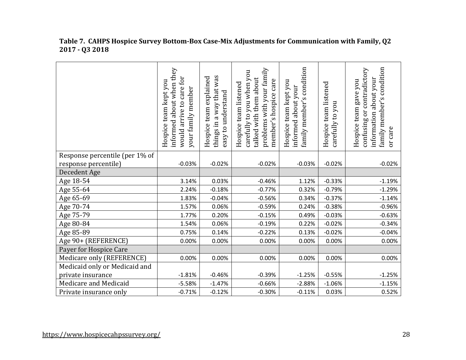|                                | informed about when they<br>would arrive to care for<br>Hospice team kept you<br>your family member | things in a way that was<br>Hospice team explained<br>easy to understand | problems with your family<br>carefully to you when you<br>talked with them about<br>member's hospice care<br>Hospice team listened | family member's condition<br>Hospice team kept you<br>about your<br>informed | Hospice team listened<br>you<br>carefully to | family member's condition<br>contradictory<br>information about your<br>gave you<br>Hospice team<br>ðr<br>confusing<br>or care |
|--------------------------------|-----------------------------------------------------------------------------------------------------|--------------------------------------------------------------------------|------------------------------------------------------------------------------------------------------------------------------------|------------------------------------------------------------------------------|----------------------------------------------|--------------------------------------------------------------------------------------------------------------------------------|
| Response percentile (per 1% of |                                                                                                     |                                                                          |                                                                                                                                    |                                                                              |                                              |                                                                                                                                |
| response percentile)           | $-0.03%$                                                                                            | $-0.02%$                                                                 | $-0.02%$                                                                                                                           | $-0.03%$                                                                     | $-0.02%$                                     | $-0.02%$                                                                                                                       |
| Decedent Age                   |                                                                                                     |                                                                          |                                                                                                                                    |                                                                              |                                              |                                                                                                                                |
| Age 18-54                      | 3.14%                                                                                               | 0.03%                                                                    | $-0.46%$                                                                                                                           | 1.12%                                                                        | $-0.33%$                                     | $-1.19%$                                                                                                                       |
| Age 55-64                      | 2.24%                                                                                               | $-0.18%$                                                                 | $-0.77%$                                                                                                                           | 0.32%                                                                        | $-0.79%$                                     | $-1.29%$                                                                                                                       |
| Age 65-69                      | 1.83%                                                                                               | $-0.04%$                                                                 | $-0.56%$                                                                                                                           | 0.34%                                                                        | $-0.37%$                                     | $-1.14%$                                                                                                                       |
| Age 70-74                      | 1.57%                                                                                               | 0.06%                                                                    | $-0.59%$                                                                                                                           | 0.24%                                                                        | $-0.38%$                                     | $-0.96%$                                                                                                                       |
| Age 75-79                      | 1.77%                                                                                               | 0.20%                                                                    | $-0.15%$                                                                                                                           | 0.49%                                                                        | $-0.03%$                                     | $-0.63%$                                                                                                                       |
| Age 80-84                      | 1.54%                                                                                               | 0.06%                                                                    | $-0.19%$                                                                                                                           | 0.22%                                                                        | $-0.02%$                                     | $-0.34%$                                                                                                                       |
| Age 85-89                      | 0.75%                                                                                               | 0.14%                                                                    | $-0.22%$                                                                                                                           | 0.13%                                                                        | $-0.02%$                                     | $-0.04%$                                                                                                                       |
| Age 90+ (REFERENCE)            | 0.00%                                                                                               | 0.00%                                                                    | 0.00%                                                                                                                              | 0.00%                                                                        | 0.00%                                        | 0.00%                                                                                                                          |
| Payer for Hospice Care         |                                                                                                     |                                                                          |                                                                                                                                    |                                                                              |                                              |                                                                                                                                |
| Medicare only (REFERENCE)      | 0.00%                                                                                               | 0.00%                                                                    | 0.00%                                                                                                                              | 0.00%                                                                        | 0.00%                                        | 0.00%                                                                                                                          |
| Medicaid only or Medicaid and  |                                                                                                     |                                                                          |                                                                                                                                    |                                                                              |                                              |                                                                                                                                |
| private insurance              | $-1.81%$                                                                                            | $-0.46%$                                                                 | $-0.39%$                                                                                                                           | $-1.25%$                                                                     | $-0.55%$                                     | $-1.25%$                                                                                                                       |
| Medicare and Medicaid          | $-5.58%$                                                                                            | $-1.47%$                                                                 | $-0.66%$                                                                                                                           | $-2.88%$                                                                     | $-1.06%$                                     | $-1.15%$                                                                                                                       |
| Private insurance only         | $-0.71%$                                                                                            | $-0.12%$                                                                 | $-0.30%$                                                                                                                           | $-0.11%$                                                                     | 0.03%                                        | 0.52%                                                                                                                          |

#### **Table 7. CAHPS Hospice Survey Bottom-Box Case-Mix Adjustments for Communication with Family, Q2 2017 - Q3 2018**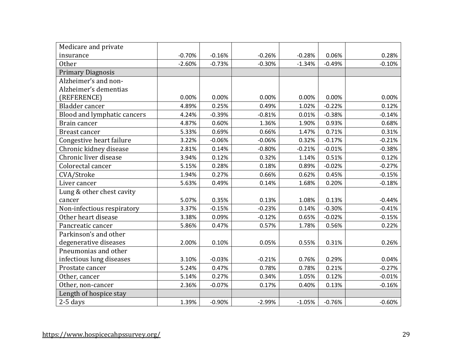| Medicare and private        |          |          |          |          |          |          |
|-----------------------------|----------|----------|----------|----------|----------|----------|
| insurance                   | $-0.70%$ | $-0.16%$ | $-0.26%$ | $-0.28%$ | 0.06%    | 0.28%    |
| <b>Other</b>                | $-2.60%$ | $-0.73%$ | $-0.30%$ | $-1.34%$ | $-0.49%$ | $-0.10%$ |
| <b>Primary Diagnosis</b>    |          |          |          |          |          |          |
| Alzheimer's and non-        |          |          |          |          |          |          |
| Alzheimer's dementias       |          |          |          |          |          |          |
| (REFERENCE)                 | 0.00%    | 0.00%    | 0.00%    | 0.00%    | 0.00%    | 0.00%    |
| Bladder cancer              | 4.89%    | 0.25%    | 0.49%    | 1.02%    | $-0.22%$ | 0.12%    |
| Blood and lymphatic cancers | 4.24%    | $-0.39%$ | $-0.81%$ | 0.01%    | $-0.38%$ | $-0.14%$ |
| Brain cancer                | 4.87%    | 0.60%    | 1.36%    | 1.90%    | 0.93%    | 0.68%    |
| <b>Breast cancer</b>        | 5.33%    | 0.69%    | 0.66%    | 1.47%    | 0.71%    | 0.31%    |
| Congestive heart failure    | 3.22%    | $-0.06%$ | $-0.06%$ | 0.32%    | $-0.17%$ | $-0.21%$ |
| Chronic kidney disease      | 2.81%    | 0.14%    | $-0.80%$ | $-0.21%$ | $-0.01%$ | $-0.38%$ |
| Chronic liver disease       | 3.94%    | 0.12%    | 0.32%    | 1.14%    | 0.51%    | 0.12%    |
| Colorectal cancer           | 5.15%    | 0.28%    | 0.18%    | 0.89%    | $-0.02%$ | $-0.27%$ |
| CVA/Stroke                  | 1.94%    | 0.27%    | 0.66%    | 0.62%    | 0.45%    | $-0.15%$ |
| Liver cancer                | 5.63%    | 0.49%    | 0.14%    | 1.68%    | 0.20%    | $-0.18%$ |
| Lung & other chest cavity   |          |          |          |          |          |          |
| cancer                      | 5.07%    | 0.35%    | 0.13%    | 1.08%    | 0.13%    | $-0.44%$ |
| Non-infectious respiratory  | 3.37%    | $-0.15%$ | $-0.23%$ | 0.14%    | $-0.30%$ | $-0.41%$ |
| Other heart disease         | 3.38%    | 0.09%    | $-0.12%$ | 0.65%    | $-0.02%$ | $-0.15%$ |
| Pancreatic cancer           | 5.86%    | 0.47%    | 0.57%    | 1.78%    | 0.56%    | 0.22%    |
| Parkinson's and other       |          |          |          |          |          |          |
| degenerative diseases       | 2.00%    | 0.10%    | 0.05%    | 0.55%    | 0.31%    | 0.26%    |
| Pneumonias and other        |          |          |          |          |          |          |
| infectious lung diseases    | 3.10%    | $-0.03%$ | $-0.21%$ | 0.76%    | 0.29%    | 0.04%    |
| Prostate cancer             | 5.24%    | 0.47%    | 0.78%    | 0.78%    | 0.21%    | $-0.27%$ |
| Other, cancer               | 5.14%    | 0.27%    | 0.34%    | 1.05%    | 0.12%    | $-0.01%$ |
| Other, non-cancer           | 2.36%    | $-0.07%$ | 0.17%    | 0.40%    | 0.13%    | $-0.16%$ |
| Length of hospice stay      |          |          |          |          |          |          |
| $2-5$ days                  | 1.39%    | $-0.90%$ | $-2.99%$ | $-1.05%$ | $-0.76%$ | $-0.60%$ |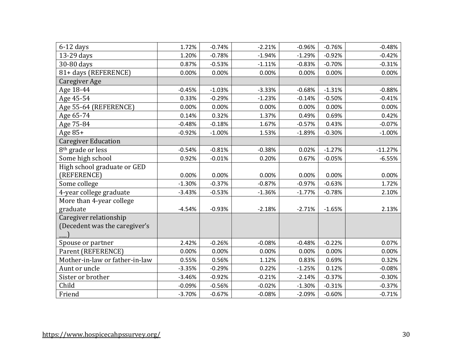| $6-12$ days                    | 1.72%    | $-0.74%$ | $-2.21%$ | $-0.96%$ | $-0.76%$ | $-0.48%$  |
|--------------------------------|----------|----------|----------|----------|----------|-----------|
| 13-29 days                     | 1.20%    | $-0.78%$ | $-1.94%$ | $-1.29%$ | $-0.92%$ | $-0.42%$  |
| 30-80 days                     | 0.87%    | $-0.53%$ | $-1.11%$ | $-0.83%$ | $-0.70%$ | $-0.31%$  |
| 81+ days (REFERENCE)           | 0.00%    | 0.00%    | 0.00%    | 0.00%    | 0.00%    | 0.00%     |
| Caregiver Age                  |          |          |          |          |          |           |
| Age 18-44                      | $-0.45%$ | $-1.03%$ | $-3.33%$ | $-0.68%$ | $-1.31%$ | $-0.88%$  |
| Age 45-54                      | 0.33%    | $-0.29%$ | $-1.23%$ | $-0.14%$ | $-0.50%$ | $-0.41%$  |
| Age 55-64 (REFERENCE)          | 0.00%    | 0.00%    | 0.00%    | 0.00%    | 0.00%    | 0.00%     |
| Age 65-74                      | 0.14%    | 0.32%    | 1.37%    | 0.49%    | 0.69%    | 0.42%     |
| Age 75-84                      | $-0.48%$ | $-0.18%$ | 1.67%    | $-0.57%$ | 0.43%    | $-0.07%$  |
| Age $85+$                      | $-0.92%$ | $-1.00%$ | 1.53%    | $-1.89%$ | $-0.30%$ | $-1.00%$  |
| <b>Caregiver Education</b>     |          |          |          |          |          |           |
| 8 <sup>th</sup> grade or less  | $-0.54%$ | $-0.81%$ | $-0.38%$ | 0.02%    | $-1.27%$ | $-11.27%$ |
| Some high school               | 0.92%    | $-0.01%$ | 0.20%    | 0.67%    | $-0.05%$ | $-6.55%$  |
| High school graduate or GED    |          |          |          |          |          |           |
| (REFERENCE)                    | 0.00%    | 0.00%    | 0.00%    | 0.00%    | 0.00%    | 0.00%     |
| Some college                   | $-1.30%$ | $-0.37%$ | $-0.87%$ | $-0.97%$ | $-0.63%$ | 1.72%     |
| 4-year college graduate        | $-3.43%$ | $-0.53%$ | $-1.36%$ | $-1.77%$ | $-0.78%$ | 2.10%     |
| More than 4-year college       |          |          |          |          |          |           |
| graduate                       | $-4.54%$ | $-0.93%$ | $-2.18%$ | $-2.71%$ | $-1.65%$ | 2.13%     |
| Caregiver relationship         |          |          |          |          |          |           |
| (Decedent was the caregiver's  |          |          |          |          |          |           |
|                                |          |          |          |          |          |           |
| Spouse or partner              | 2.42%    | $-0.26%$ | $-0.08%$ | $-0.48%$ | $-0.22%$ | 0.07%     |
| Parent (REFERENCE)             | 0.00%    | 0.00%    | 0.00%    | 0.00%    | 0.00%    | 0.00%     |
| Mother-in-law or father-in-law | 0.55%    | 0.56%    | 1.12%    | 0.83%    | 0.69%    | 0.32%     |
| Aunt or uncle                  | $-3.35%$ | $-0.29%$ | 0.22%    | $-1.25%$ | 0.12%    | $-0.08%$  |
| Sister or brother              | $-3.46%$ | $-0.92%$ | $-0.21%$ | $-2.14%$ | $-0.37%$ | $-0.30%$  |
| Child                          | $-0.09%$ | $-0.56%$ | $-0.02%$ | $-1.30%$ | $-0.31%$ | $-0.37%$  |
| Friend                         | $-3.70%$ | $-0.67%$ | $-0.08%$ | $-2.09%$ | $-0.60%$ | $-0.71%$  |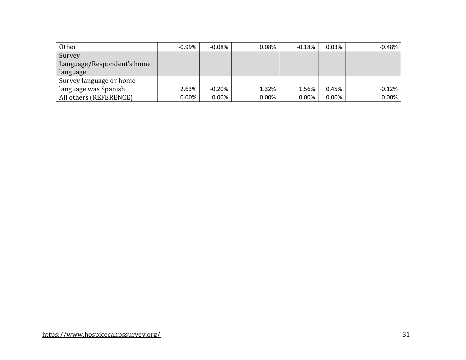| Other                      | $-0.99\%$ | $-0.08\%$ | 0.08%    | $-0.18%$ | 0.03%    | $-0.48%$ |
|----------------------------|-----------|-----------|----------|----------|----------|----------|
| Survey                     |           |           |          |          |          |          |
| Language/Respondent's home |           |           |          |          |          |          |
| language                   |           |           |          |          |          |          |
| Survey language or home    |           |           |          |          |          |          |
| language was Spanish       | 2.63%     | $-0.20\%$ | 1.32%    | 1.56%    | 0.45%    | $-0.12%$ |
| All others (REFERENCE)     | $0.00\%$  | $0.00\%$  | $0.00\%$ | 0.00%    | $0.00\%$ | 0.00%    |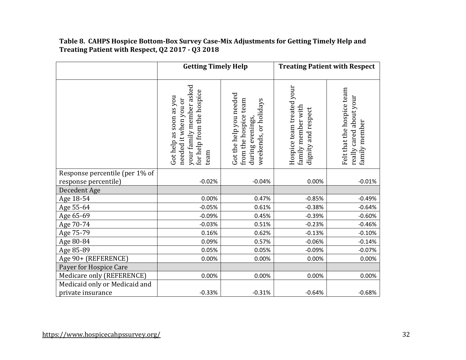## **Table 8. CAHPS Hospice Bottom-Box Survey Case-Mix Adjustments for Getting Timely Help and Treating Patient with Respect, Q2 2017 - Q3 2018**

|                                | <b>Getting Timely Help</b>                                                                                        |                                                                                              | <b>Treating Patient with Respect</b>                                   |                                                                        |  |
|--------------------------------|-------------------------------------------------------------------------------------------------------------------|----------------------------------------------------------------------------------------------|------------------------------------------------------------------------|------------------------------------------------------------------------|--|
|                                | your family member asked<br>for help from the hospice<br>Got help as soon as you<br>needed it when you or<br>team | Got the help you needed<br>from the hospice team<br>weekends, or holidays<br>during evenings | Hospice team treated your<br>family member with<br>dignity and respect | Felt that the hospice team<br>really cared about your<br>family member |  |
| Response percentile (per 1% of |                                                                                                                   |                                                                                              |                                                                        |                                                                        |  |
| response percentile)           | $-0.02%$                                                                                                          | $-0.04%$                                                                                     | 0.00%                                                                  | $-0.01%$                                                               |  |
| Decedent Age                   |                                                                                                                   |                                                                                              |                                                                        |                                                                        |  |
| Age 18-54                      | 0.00%                                                                                                             | 0.47%                                                                                        | $-0.85%$                                                               | $-0.49%$                                                               |  |
| Age 55-64                      | $-0.05%$                                                                                                          | 0.61%                                                                                        | $-0.38%$                                                               | $-0.64%$                                                               |  |
| Age 65-69                      | $-0.09%$                                                                                                          | 0.45%                                                                                        | $-0.39%$                                                               | $-0.60%$                                                               |  |
| Age 70-74                      | $-0.03%$                                                                                                          | 0.51%                                                                                        | $-0.23%$                                                               | $-0.46%$                                                               |  |
| Age 75-79                      | 0.16%                                                                                                             | 0.62%                                                                                        | $-0.13%$                                                               | $-0.10%$                                                               |  |
| Age 80-84                      | 0.09%                                                                                                             | 0.57%                                                                                        | $-0.06%$                                                               | $-0.14%$                                                               |  |
| Age 85-89                      | 0.05%                                                                                                             | 0.05%                                                                                        | $-0.09%$                                                               | $-0.07%$                                                               |  |
| Age 90+ (REFERENCE)            | 0.00%                                                                                                             | 0.00%                                                                                        | 0.00%                                                                  | 0.00%                                                                  |  |
| Payer for Hospice Care         |                                                                                                                   |                                                                                              |                                                                        |                                                                        |  |
| Medicare only (REFERENCE)      | 0.00%                                                                                                             | 0.00%                                                                                        | 0.00%                                                                  | 0.00%                                                                  |  |
| Medicaid only or Medicaid and  |                                                                                                                   |                                                                                              |                                                                        |                                                                        |  |
| private insurance              | $-0.33%$                                                                                                          | $-0.31%$                                                                                     | $-0.64%$                                                               | $-0.68%$                                                               |  |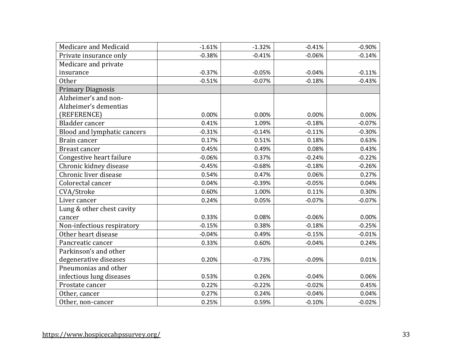| Medicare and Medicaid       | $-1.61%$ | $-1.32%$ | $-0.41%$ | $-0.90%$ |
|-----------------------------|----------|----------|----------|----------|
| Private insurance only      | $-0.38%$ | $-0.41%$ | $-0.06%$ | $-0.14%$ |
| Medicare and private        |          |          |          |          |
| insurance                   | $-0.37%$ | $-0.05%$ | $-0.04%$ | $-0.11%$ |
| <b>Other</b>                | $-0.51%$ | $-0.07%$ | $-0.18%$ | $-0.43%$ |
| <b>Primary Diagnosis</b>    |          |          |          |          |
| Alzheimer's and non-        |          |          |          |          |
| Alzheimer's dementias       |          |          |          |          |
| (REFERENCE)                 | 0.00%    | 0.00%    | 0.00%    | 0.00%    |
| Bladder cancer              | 0.41%    | 1.09%    | $-0.18%$ | $-0.07%$ |
| Blood and lymphatic cancers | $-0.31%$ | $-0.14%$ | $-0.11%$ | $-0.30%$ |
| Brain cancer                | 0.17%    | 0.51%    | 0.18%    | 0.63%    |
| <b>Breast cancer</b>        | 0.45%    | 0.49%    | 0.08%    | 0.43%    |
| Congestive heart failure    | $-0.06%$ | 0.37%    | $-0.24%$ | $-0.22%$ |
| Chronic kidney disease      | $-0.45%$ | $-0.68%$ | $-0.18%$ | $-0.26%$ |
| Chronic liver disease       | 0.54%    | 0.47%    | 0.06%    | 0.27%    |
| Colorectal cancer           | 0.04%    | $-0.39%$ | $-0.05%$ | 0.04%    |
| CVA/Stroke                  | 0.60%    | 1.00%    | 0.11%    | 0.30%    |
| Liver cancer                | 0.24%    | 0.05%    | $-0.07%$ | $-0.07%$ |
| Lung & other chest cavity   |          |          |          |          |
| cancer                      | 0.33%    | 0.08%    | $-0.06%$ | 0.00%    |
| Non-infectious respiratory  | $-0.15%$ | 0.38%    | $-0.18%$ | $-0.25%$ |
| Other heart disease         | $-0.04%$ | 0.49%    | $-0.15%$ | $-0.01%$ |
| Pancreatic cancer           | 0.33%    | 0.60%    | $-0.04%$ | 0.24%    |
| Parkinson's and other       |          |          |          |          |
| degenerative diseases       | 0.20%    | $-0.73%$ | $-0.09%$ | 0.01%    |
| Pneumonias and other        |          |          |          |          |
| infectious lung diseases    | 0.53%    | 0.26%    | $-0.04%$ | 0.06%    |
| Prostate cancer             | 0.22%    | $-0.22%$ | $-0.02%$ | 0.45%    |
| Other, cancer               | 0.27%    | 0.24%    | $-0.04%$ | 0.04%    |
| Other, non-cancer           | 0.25%    | 0.59%    | $-0.10%$ | $-0.02%$ |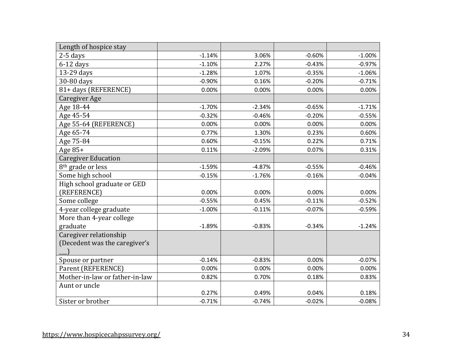| Length of hospice stay         |          |          |          |          |
|--------------------------------|----------|----------|----------|----------|
| $2-5$ days                     | $-1.14%$ | 3.06%    | $-0.60%$ | $-1.00%$ |
| $6-12$ days                    | $-1.10%$ | 2.27%    | $-0.43%$ | $-0.97%$ |
| 13-29 days                     | $-1.28%$ | 1.07%    | $-0.35%$ | $-1.06%$ |
| 30-80 days                     | $-0.90%$ | 0.16%    | $-0.20%$ | $-0.71%$ |
| 81+ days (REFERENCE)           | 0.00%    | 0.00%    | 0.00%    | 0.00%    |
| Caregiver Age                  |          |          |          |          |
| Age 18-44                      | $-1.70%$ | $-2.34%$ | $-0.65%$ | $-1.71%$ |
| Age 45-54                      | $-0.32%$ | $-0.46%$ | $-0.20%$ | $-0.55%$ |
| Age 55-64 (REFERENCE)          | 0.00%    | 0.00%    | 0.00%    | 0.00%    |
| Age 65-74                      | 0.77%    | 1.30%    | 0.23%    | 0.60%    |
| Age 75-84                      | 0.60%    | $-0.15%$ | 0.22%    | 0.71%    |
| Age 85+                        | 0.11%    | $-2.09%$ | 0.07%    | 0.31%    |
| <b>Caregiver Education</b>     |          |          |          |          |
| 8 <sup>th</sup> grade or less  | $-1.59%$ | $-4.87%$ | $-0.55%$ | $-0.46%$ |
| Some high school               | $-0.15%$ | $-1.76%$ | $-0.16%$ | $-0.04%$ |
| High school graduate or GED    |          |          |          |          |
| (REFERENCE)                    | 0.00%    | 0.00%    | 0.00%    | 0.00%    |
| Some college                   | $-0.55%$ | 0.45%    | $-0.11%$ | $-0.52%$ |
| 4-year college graduate        | $-1.00%$ | $-0.11%$ | $-0.07%$ | $-0.59%$ |
| More than 4-year college       |          |          |          |          |
| graduate                       | $-1.89%$ | $-0.83%$ | $-0.34%$ | $-1.24%$ |
| Caregiver relationship         |          |          |          |          |
| (Decedent was the caregiver's  |          |          |          |          |
|                                |          |          |          |          |
| Spouse or partner              | $-0.14%$ | $-0.83%$ | 0.00%    | $-0.07%$ |
| Parent (REFERENCE)             | 0.00%    | 0.00%    | 0.00%    | 0.00%    |
| Mother-in-law or father-in-law | 0.82%    | 0.70%    | 0.18%    | 0.83%    |
| Aunt or uncle                  |          |          |          |          |
|                                | 0.27%    | 0.49%    | 0.04%    | 0.18%    |
| Sister or brother              | $-0.71%$ | $-0.74%$ | $-0.02%$ | $-0.08%$ |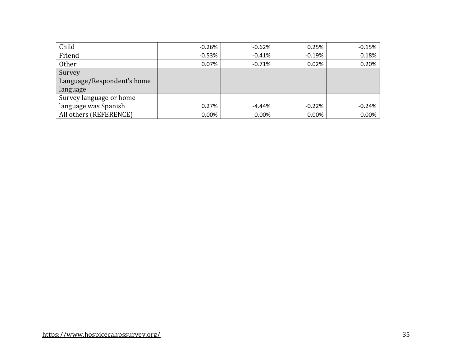| Child                      | $-0.26\%$ | $-0.62%$ | 0.25%    | $-0.15%$ |
|----------------------------|-----------|----------|----------|----------|
| Friend                     | $-0.53\%$ | $-0.41%$ | $-0.19%$ | 0.18%    |
| <b>Other</b>               | 0.07%     | $-0.71%$ | 0.02%    | 0.20%    |
| Survey                     |           |          |          |          |
| Language/Respondent's home |           |          |          |          |
| language                   |           |          |          |          |
| Survey language or home    |           |          |          |          |
| language was Spanish       | 0.27%     | -4.44%   | $-0.22%$ | $-0.24%$ |
| All others (REFERENCE)     | $0.00\%$  | 0.00%    | 0.00%    | 0.00%    |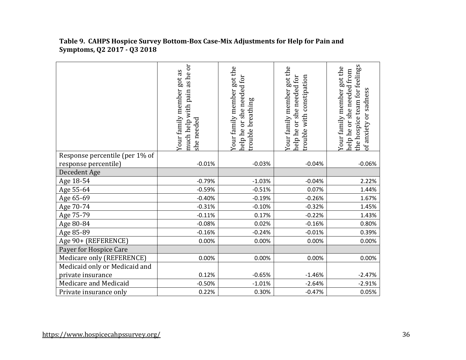|                                | as he or<br>Your family member got as<br>much help with pain<br>she needed | Your family member got the<br>help he or she needed for<br>trouble breathing | Your family member got the<br>help he or she needed for<br>trouble with constipation | the hospice team for feelings<br>Your family member got the<br>help he or she needed from<br>of anxiety or sadness |
|--------------------------------|----------------------------------------------------------------------------|------------------------------------------------------------------------------|--------------------------------------------------------------------------------------|--------------------------------------------------------------------------------------------------------------------|
| Response percentile (per 1% of |                                                                            |                                                                              |                                                                                      |                                                                                                                    |
| response percentile)           | $-0.01%$                                                                   | $-0.03%$                                                                     | $-0.04%$                                                                             | $-0.06%$                                                                                                           |
| Decedent Age                   |                                                                            |                                                                              |                                                                                      |                                                                                                                    |
| Age 18-54                      | $-0.79%$                                                                   | $-1.03%$                                                                     | $-0.04%$                                                                             | 2.22%                                                                                                              |
| Age 55-64                      | $-0.59%$                                                                   | $-0.51%$                                                                     | 0.07%                                                                                | 1.44%                                                                                                              |
| Age 65-69                      | $-0.40%$                                                                   | $-0.19%$                                                                     | $-0.26%$                                                                             | 1.67%                                                                                                              |
| Age 70-74                      | $-0.31%$                                                                   | $-0.10%$                                                                     | $-0.32%$                                                                             | 1.45%                                                                                                              |
| Age 75-79                      | $-0.11%$                                                                   | 0.17%                                                                        | $-0.22%$                                                                             | 1.43%                                                                                                              |
| Age 80-84                      | $-0.08%$                                                                   | 0.02%                                                                        | $-0.16%$                                                                             | 0.80%                                                                                                              |
| Age 85-89                      | $-0.16%$                                                                   | $-0.24%$                                                                     | $-0.01%$                                                                             | 0.39%                                                                                                              |
| Age 90+ (REFERENCE)            | 0.00%                                                                      | 0.00%                                                                        | 0.00%                                                                                | 0.00%                                                                                                              |
| Payer for Hospice Care         |                                                                            |                                                                              |                                                                                      |                                                                                                                    |
| Medicare only (REFERENCE)      | 0.00%                                                                      | 0.00%                                                                        | 0.00%                                                                                | 0.00%                                                                                                              |
| Medicaid only or Medicaid and  |                                                                            |                                                                              |                                                                                      |                                                                                                                    |
| private insurance              | 0.12%                                                                      | $-0.65%$                                                                     | $-1.46%$                                                                             | $-2.47%$                                                                                                           |
| Medicare and Medicaid          | $-0.50%$                                                                   | $-1.01%$                                                                     | $-2.64%$                                                                             | $-2.91%$                                                                                                           |
| Private insurance only         | 0.22%                                                                      | 0.30%                                                                        | $-0.47%$                                                                             | 0.05%                                                                                                              |

#### **Table 9. CAHPS Hospice Survey Bottom-Box Case-Mix Adjustments for Help for Pain and Symptoms, Q2 2017 - Q3 2018**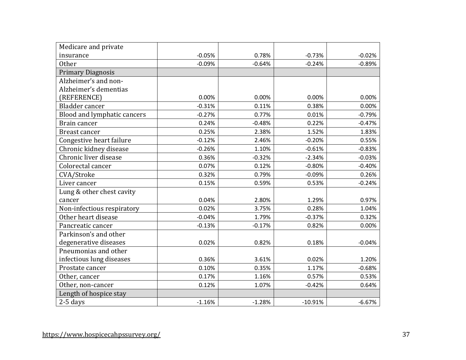| Medicare and private        |          |          |           |          |
|-----------------------------|----------|----------|-----------|----------|
| insurance                   | $-0.05%$ | 0.78%    | $-0.73%$  | $-0.02%$ |
| <b>Other</b>                | $-0.09%$ | $-0.64%$ | $-0.24%$  | $-0.89%$ |
| <b>Primary Diagnosis</b>    |          |          |           |          |
| Alzheimer's and non-        |          |          |           |          |
| Alzheimer's dementias       |          |          |           |          |
| (REFERENCE)                 | 0.00%    | 0.00%    | 0.00%     | 0.00%    |
| Bladder cancer              | $-0.31%$ | 0.11%    | 0.38%     | 0.00%    |
| Blood and lymphatic cancers | $-0.27%$ | 0.77%    | 0.01%     | $-0.79%$ |
| Brain cancer                | 0.24%    | $-0.48%$ | 0.22%     | $-0.47%$ |
| <b>Breast cancer</b>        | 0.25%    | 2.38%    | 1.52%     | 1.83%    |
| Congestive heart failure    | $-0.12%$ | 2.46%    | $-0.20%$  | 0.55%    |
| Chronic kidney disease      | $-0.26%$ | 1.10%    | $-0.61%$  | $-0.83%$ |
| Chronic liver disease       | 0.36%    | $-0.32%$ | $-2.34%$  | $-0.03%$ |
| Colorectal cancer           | 0.07%    | 0.12%    | $-0.80%$  | $-0.40%$ |
| CVA/Stroke                  | 0.32%    | 0.79%    | $-0.09%$  | 0.26%    |
| Liver cancer                | 0.15%    | 0.59%    | 0.53%     | $-0.24%$ |
| Lung & other chest cavity   |          |          |           |          |
| cancer                      | 0.04%    | 2.80%    | 1.29%     | 0.97%    |
| Non-infectious respiratory  | 0.02%    | 3.75%    | 0.28%     | 1.04%    |
| Other heart disease         | $-0.04%$ | 1.79%    | $-0.37%$  | 0.32%    |
| Pancreatic cancer           | $-0.13%$ | $-0.17%$ | 0.82%     | 0.00%    |
| Parkinson's and other       |          |          |           |          |
| degenerative diseases       | 0.02%    | 0.82%    | 0.18%     | $-0.04%$ |
| Pneumonias and other        |          |          |           |          |
| infectious lung diseases    | 0.36%    | 3.61%    | 0.02%     | 1.20%    |
| Prostate cancer             | 0.10%    | 0.35%    | 1.17%     | $-0.68%$ |
| Other, cancer               | 0.17%    | 1.16%    | 0.57%     | 0.53%    |
| Other, non-cancer           | 0.12%    | 1.07%    | $-0.42%$  | 0.64%    |
| Length of hospice stay      |          |          |           |          |
| $2-5$ days                  | $-1.16%$ | $-1.28%$ | $-10.91%$ | $-6.67%$ |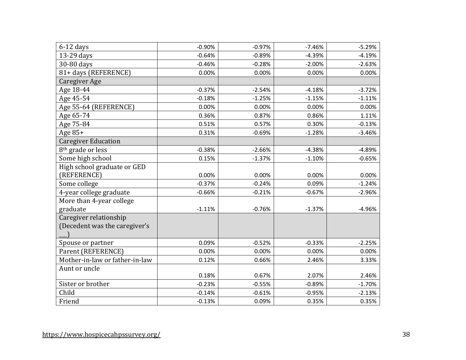| $6-12$ days                    | $-0.90%$ | $-0.97%$ | $-7.46%$ | $-5.29%$ |
|--------------------------------|----------|----------|----------|----------|
| 13-29 days                     | $-0.64%$ | $-0.89%$ | $-4.39%$ | $-4.19%$ |
| 30-80 days                     | $-0.46%$ | $-0.28%$ | $-2.00%$ | $-2.63%$ |
| 81+ days (REFERENCE)           | 0.00%    | 0.00%    | 0.00%    | 0.00%    |
| Caregiver Age                  |          |          |          |          |
| Age 18-44                      | $-0.37%$ | $-2.54%$ | $-4.18%$ | $-3.72%$ |
| Age 45-54                      | $-0.18%$ | $-1.25%$ | $-1.15%$ | $-1.11%$ |
| Age 55-64 (REFERENCE)          | 0.00%    | 0.00%    | 0.00%    | 0.00%    |
| Age 65-74                      | 0.36%    | 0.87%    | 0.86%    | 1.11%    |
| Age 75-84                      | 0.51%    | 0.57%    | 0.30%    | $-0.13%$ |
| Age 85+                        | 0.31%    | $-0.69%$ | $-1.28%$ | $-3.46%$ |
| <b>Caregiver Education</b>     |          |          |          |          |
| 8 <sup>th</sup> grade or less  | $-0.38%$ | $-2.66%$ | $-4.38%$ | $-4.89%$ |
| Some high school               | 0.15%    | $-1.37%$ | $-1.10%$ | $-0.65%$ |
| High school graduate or GED    |          |          |          |          |
| (REFERENCE)                    | 0.00%    | 0.00%    | 0.00%    | 0.00%    |
| Some college                   | $-0.37%$ | $-0.24%$ | 0.09%    | $-1.24%$ |
| 4-year college graduate        | $-0.66%$ | $-0.21%$ | $-0.67%$ | $-2.96%$ |
| More than 4-year college       |          |          |          |          |
| graduate                       | $-1.11%$ | $-0.76%$ | $-1.37%$ | $-4.96%$ |
| Caregiver relationship         |          |          |          |          |
| (Decedent was the caregiver's  |          |          |          |          |
|                                |          |          |          |          |
| Spouse or partner              | 0.09%    | $-0.52%$ | $-0.33%$ | $-2.25%$ |
| Parent (REFERENCE)             | 0.00%    | 0.00%    | 0.00%    | 0.00%    |
| Mother-in-law or father-in-law | 0.12%    | 0.66%    | 2.46%    | 3.33%    |
| Aunt or uncle                  |          |          |          |          |
|                                | 0.18%    | 0.67%    | 2.07%    | 2.46%    |
| Sister or brother              | $-0.23%$ | $-0.55%$ | $-0.89%$ | $-1.70%$ |
| Child                          | $-0.14%$ | $-0.61%$ | $-0.95%$ | $-2.13%$ |
| Friend                         | $-0.13%$ | 0.09%    | 0.35%    | 0.35%    |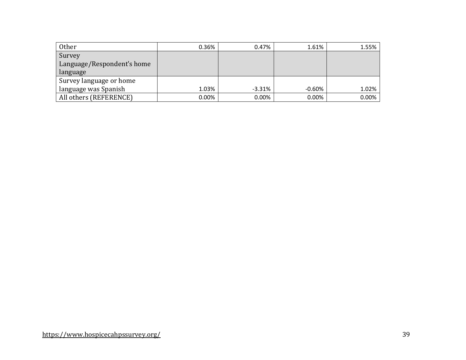| Other                      | 0.36%    | 0.47%     | 1.61%     | 1.55% |
|----------------------------|----------|-----------|-----------|-------|
| Survey                     |          |           |           |       |
| Language/Respondent's home |          |           |           |       |
| language                   |          |           |           |       |
| Survey language or home    |          |           |           |       |
| language was Spanish       | 1.03%    | $-3.31\%$ | $-0.60\%$ | 1.02% |
| All others (REFERENCE)     | $0.00\%$ | $0.00\%$  | 0.00%     | 0.00% |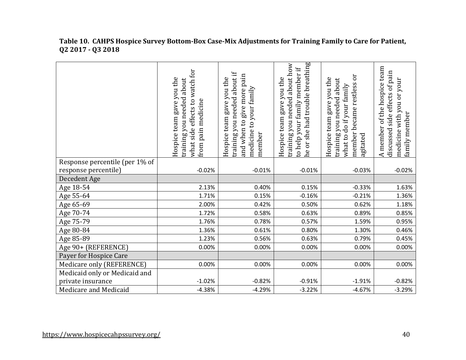|                                | watch for<br>Hospice team gave you the<br>training you needed about<br>what side effects to<br>from pain medicine | about if<br>give more pain<br>Hospice team gave you the<br>medicine to your family<br>training you needed<br>and when to<br>member | he or she had trouble breathing<br>training you needed about how<br>to help your family member if<br>Hospice team gave you the | Эr<br>Hospice team gave you the<br>training you needed about<br>member became restless<br>what to do if your family<br>agitated | A member of the hospice team<br>discussed side effects of pain<br>medicine with you or your<br>family member |
|--------------------------------|-------------------------------------------------------------------------------------------------------------------|------------------------------------------------------------------------------------------------------------------------------------|--------------------------------------------------------------------------------------------------------------------------------|---------------------------------------------------------------------------------------------------------------------------------|--------------------------------------------------------------------------------------------------------------|
| Response percentile (per 1% of |                                                                                                                   |                                                                                                                                    |                                                                                                                                |                                                                                                                                 |                                                                                                              |
| response percentile)           | $-0.02%$                                                                                                          | $-0.01%$                                                                                                                           | $-0.01%$                                                                                                                       | $-0.03%$                                                                                                                        | $-0.02%$                                                                                                     |
| Decedent Age                   |                                                                                                                   |                                                                                                                                    |                                                                                                                                |                                                                                                                                 |                                                                                                              |
| Age 18-54                      | 2.13%                                                                                                             | 0.40%                                                                                                                              | 0.15%                                                                                                                          | $-0.33%$                                                                                                                        | 1.63%                                                                                                        |
| Age 55-64                      | 1.71%                                                                                                             | 0.15%                                                                                                                              | $-0.16%$                                                                                                                       | $-0.21%$                                                                                                                        | 1.36%                                                                                                        |
| Age 65-69                      | 2.00%                                                                                                             | 0.42%                                                                                                                              | 0.50%                                                                                                                          | 0.62%                                                                                                                           | 1.18%                                                                                                        |
| Age 70-74                      | 1.72%                                                                                                             | 0.58%                                                                                                                              | 0.63%                                                                                                                          | 0.89%                                                                                                                           | 0.85%                                                                                                        |
| Age 75-79                      | 1.76%                                                                                                             | 0.78%                                                                                                                              | 0.57%                                                                                                                          | 1.59%                                                                                                                           | 0.95%                                                                                                        |
| Age 80-84                      | 1.36%                                                                                                             | 0.61%                                                                                                                              | 0.80%                                                                                                                          | 1.30%                                                                                                                           | 0.46%                                                                                                        |
| Age 85-89                      | 1.23%                                                                                                             | 0.56%                                                                                                                              | 0.63%                                                                                                                          | 0.79%                                                                                                                           | 0.45%                                                                                                        |
| Age 90+ (REFERENCE)            | 0.00%                                                                                                             | 0.00%                                                                                                                              | 0.00%                                                                                                                          | 0.00%                                                                                                                           | 0.00%                                                                                                        |
| Payer for Hospice Care         |                                                                                                                   |                                                                                                                                    |                                                                                                                                |                                                                                                                                 |                                                                                                              |
| Medicare only (REFERENCE)      | 0.00%                                                                                                             | 0.00%                                                                                                                              | 0.00%                                                                                                                          | 0.00%                                                                                                                           | 0.00%                                                                                                        |
| Medicaid only or Medicaid and  |                                                                                                                   |                                                                                                                                    |                                                                                                                                |                                                                                                                                 |                                                                                                              |
| private insurance              | $-1.02%$                                                                                                          | $-0.82%$                                                                                                                           | $-0.91%$                                                                                                                       | $-1.91%$                                                                                                                        | $-0.82%$                                                                                                     |
| Medicare and Medicaid          | $-4.38%$                                                                                                          | $-4.29%$                                                                                                                           | $-3.22%$                                                                                                                       | $-4.67%$                                                                                                                        | $-3.29%$                                                                                                     |

#### **Table 10. CAHPS Hospice Survey Bottom-Box Case-Mix Adjustments for Training Family to Care for Patient, Q2 2017 - Q3 2018**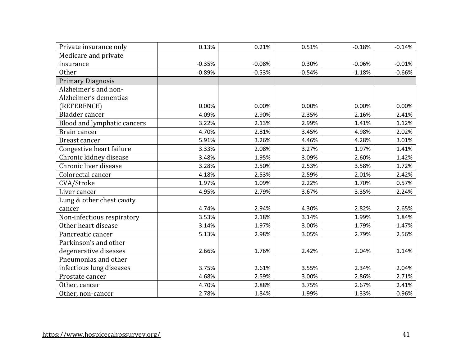| Private insurance only      | 0.13%    | 0.21%    | 0.51%    | $-0.18%$ | $-0.14%$ |
|-----------------------------|----------|----------|----------|----------|----------|
| Medicare and private        |          |          |          |          |          |
| insurance                   | $-0.35%$ | $-0.08%$ | 0.30%    | $-0.06%$ | $-0.01%$ |
| <b>Other</b>                | $-0.89%$ | $-0.53%$ | $-0.54%$ | $-1.18%$ | $-0.66%$ |
| <b>Primary Diagnosis</b>    |          |          |          |          |          |
| Alzheimer's and non-        |          |          |          |          |          |
| Alzheimer's dementias       |          |          |          |          |          |
| (REFERENCE)                 | 0.00%    | 0.00%    | 0.00%    | 0.00%    | 0.00%    |
| Bladder cancer              | 4.09%    | 2.90%    | 2.35%    | 2.16%    | 2.41%    |
| Blood and lymphatic cancers | 3.22%    | 2.13%    | 2.99%    | 1.41%    | 1.12%    |
| Brain cancer                | 4.70%    | 2.81%    | 3.45%    | 4.98%    | 2.02%    |
| <b>Breast cancer</b>        | 5.91%    | 3.26%    | 4.46%    | 4.28%    | 3.01%    |
| Congestive heart failure    | 3.33%    | 2.08%    | 3.27%    | 1.97%    | 1.41%    |
| Chronic kidney disease      | 3.48%    | 1.95%    | 3.09%    | 2.60%    | 1.42%    |
| Chronic liver disease       | 3.28%    | 2.50%    | 2.53%    | 3.58%    | 1.72%    |
| Colorectal cancer           | 4.18%    | 2.53%    | 2.59%    | 2.01%    | 2.42%    |
| CVA/Stroke                  | 1.97%    | 1.09%    | 2.22%    | 1.70%    | 0.57%    |
| Liver cancer                | 4.95%    | 2.79%    | 3.67%    | 3.35%    | 2.24%    |
| Lung & other chest cavity   |          |          |          |          |          |
| cancer                      | 4.74%    | 2.94%    | 4.30%    | 2.82%    | 2.65%    |
| Non-infectious respiratory  | 3.53%    | 2.18%    | 3.14%    | 1.99%    | 1.84%    |
| Other heart disease         | 3.14%    | 1.97%    | 3.00%    | 1.79%    | 1.47%    |
| Pancreatic cancer           | 5.13%    | 2.98%    | 3.05%    | 2.79%    | 2.56%    |
| Parkinson's and other       |          |          |          |          |          |
| degenerative diseases       | 2.66%    | 1.76%    | 2.42%    | 2.04%    | 1.14%    |
| Pneumonias and other        |          |          |          |          |          |
| infectious lung diseases    | 3.75%    | 2.61%    | 3.55%    | 2.34%    | 2.04%    |
| Prostate cancer             | 4.68%    | 2.59%    | 3.00%    | 2.86%    | 2.71%    |
| Other, cancer               | 4.70%    | 2.88%    | 3.75%    | 2.67%    | 2.41%    |
| Other, non-cancer           | 2.78%    | 1.84%    | 1.99%    | 1.33%    | 0.96%    |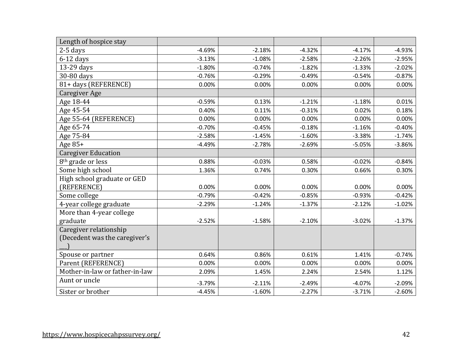| Length of hospice stay         |          |          |          |          |          |
|--------------------------------|----------|----------|----------|----------|----------|
| $2-5$ days                     | $-4.69%$ | $-2.18%$ | $-4.32%$ | $-4.17%$ | $-4.93%$ |
| $6-12$ days                    | $-3.13%$ | $-1.08%$ | $-2.58%$ | $-2.26%$ | $-2.95%$ |
| 13-29 days                     | $-1.80%$ | $-0.74%$ | $-1.82%$ | $-1.33%$ | $-2.02%$ |
| 30-80 days                     | $-0.76%$ | $-0.29%$ | $-0.49%$ | $-0.54%$ | $-0.87%$ |
| 81+ days (REFERENCE)           | 0.00%    | 0.00%    | 0.00%    | 0.00%    | 0.00%    |
| Caregiver Age                  |          |          |          |          |          |
| Age 18-44                      | $-0.59%$ | 0.13%    | $-1.21%$ | $-1.18%$ | 0.01%    |
| Age 45-54                      | 0.40%    | 0.11%    | $-0.31%$ | 0.02%    | 0.18%    |
| Age 55-64 (REFERENCE)          | 0.00%    | 0.00%    | 0.00%    | 0.00%    | 0.00%    |
| Age 65-74                      | $-0.70%$ | $-0.45%$ | $-0.18%$ | $-1.16%$ | $-0.40%$ |
| Age 75-84                      | $-2.58%$ | $-1.45%$ | $-1.60%$ | $-3.38%$ | $-1.74%$ |
| Age $85+$                      | $-4.49%$ | $-2.78%$ | $-2.69%$ | $-5.05%$ | $-3.86%$ |
| <b>Caregiver Education</b>     |          |          |          |          |          |
| 8 <sup>th</sup> grade or less  | 0.88%    | $-0.03%$ | 0.58%    | $-0.02%$ | $-0.84%$ |
| Some high school               | 1.36%    | 0.74%    | 0.30%    | 0.66%    | 0.30%    |
| High school graduate or GED    |          |          |          |          |          |
| (REFERENCE)                    | 0.00%    | 0.00%    | 0.00%    | 0.00%    | 0.00%    |
| Some college                   | $-0.79%$ | $-0.42%$ | $-0.85%$ | $-0.93%$ | $-0.42%$ |
| 4-year college graduate        | $-2.29%$ | $-1.24%$ | $-1.37%$ | $-2.12%$ | $-1.02%$ |
| More than 4-year college       |          |          |          |          |          |
| graduate                       | $-2.52%$ | $-1.58%$ | $-2.10%$ | $-3.02%$ | $-1.37%$ |
| Caregiver relationship         |          |          |          |          |          |
| (Decedent was the caregiver's  |          |          |          |          |          |
|                                |          |          |          |          |          |
| Spouse or partner              | 0.64%    | 0.86%    | 0.61%    | 1.41%    | $-0.74%$ |
| Parent (REFERENCE)             | 0.00%    | 0.00%    | 0.00%    | 0.00%    | 0.00%    |
| Mother-in-law or father-in-law | 2.09%    | 1.45%    | 2.24%    | 2.54%    | 1.12%    |
| Aunt or uncle                  | $-3.79%$ | $-2.11%$ | $-2.49%$ | $-4.07%$ | $-2.09%$ |
| Sister or brother              | $-4.45%$ | $-1.60%$ | $-2.27%$ | $-3.71%$ | $-2.60%$ |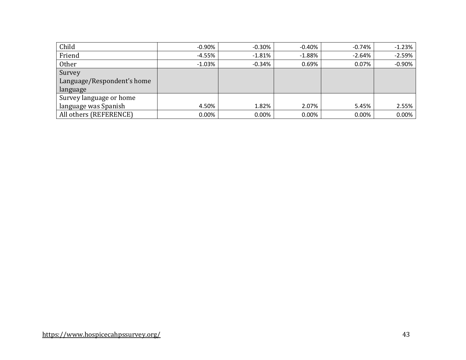| Child                      | $-0.90\%$ | $-0.30%$ | -0.40%   | $-0.74\%$ | $-1.23%$ |
|----------------------------|-----------|----------|----------|-----------|----------|
| Friend                     | $-4.55%$  | $-1.81%$ | $-1.88%$ | $-2.64%$  | $-2.59%$ |
| <b>Other</b>               | $-1.03%$  | $-0.34%$ | 0.69%    | 0.07%     | $-0.90%$ |
| Survey                     |           |          |          |           |          |
| Language/Respondent's home |           |          |          |           |          |
| language                   |           |          |          |           |          |
| Survey language or home    |           |          |          |           |          |
| language was Spanish       | 4.50%     | 1.82%    | 2.07%    | 5.45%     | 2.55%    |
| All others (REFERENCE)     | $0.00\%$  | $0.00\%$ | 0.00%    | 0.00%     | 0.00%    |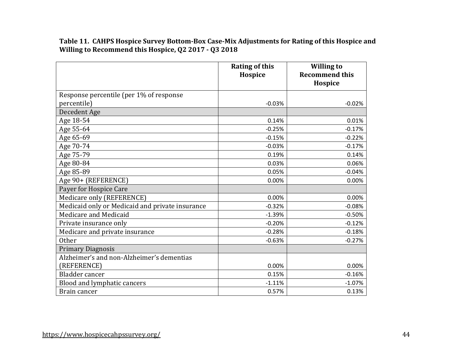**Table 11. CAHPS Hospice Survey Bottom-Box Case-Mix Adjustments for Rating of this Hospice and Willing to Recommend this Hospice, Q2 2017 - Q3 2018**

|                                                 | <b>Rating of this</b><br>Hospice | <b>Willing to</b><br><b>Recommend this</b> |
|-------------------------------------------------|----------------------------------|--------------------------------------------|
|                                                 |                                  | Hospice                                    |
| Response percentile (per 1% of response         |                                  |                                            |
| percentile)                                     | $-0.03%$                         | $-0.02%$                                   |
| Decedent Age                                    |                                  |                                            |
| Age 18-54                                       | 0.14%                            | 0.01%                                      |
| Age 55-64                                       | $-0.25%$                         | $-0.17%$                                   |
| Age 65-69                                       | $-0.15%$                         | $-0.22%$                                   |
| Age 70-74                                       | $-0.03%$                         | $-0.17%$                                   |
| Age 75-79                                       | 0.19%                            | 0.14%                                      |
| Age 80-84                                       | 0.03%                            | 0.06%                                      |
| Age 85-89                                       | 0.05%                            | $-0.04%$                                   |
| Age 90+ (REFERENCE)                             | 0.00%                            | 0.00%                                      |
| Payer for Hospice Care                          |                                  |                                            |
| Medicare only (REFERENCE)                       | 0.00%                            | 0.00%                                      |
| Medicaid only or Medicaid and private insurance | $-0.32%$                         | $-0.08%$                                   |
| Medicare and Medicaid                           | $-1.39%$                         | $-0.50%$                                   |
| Private insurance only                          | $-0.20%$                         | $-0.12%$                                   |
| Medicare and private insurance                  | $-0.28%$                         | $-0.18%$                                   |
| <b>Other</b>                                    | $-0.63%$                         | $-0.27%$                                   |
| <b>Primary Diagnosis</b>                        |                                  |                                            |
| Alzheimer's and non-Alzheimer's dementias       |                                  |                                            |
| (REFERENCE)                                     | 0.00%                            | 0.00%                                      |
| Bladder cancer                                  | 0.15%                            | $-0.16%$                                   |
| Blood and lymphatic cancers                     | $-1.11%$                         | $-1.07%$                                   |
| Brain cancer                                    | 0.57%                            | 0.13%                                      |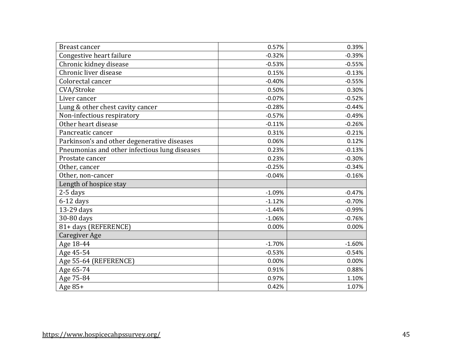| <b>Breast cancer</b>                          | 0.57%    | 0.39%    |
|-----------------------------------------------|----------|----------|
| Congestive heart failure                      | $-0.32%$ | $-0.39%$ |
| Chronic kidney disease                        | $-0.53%$ | $-0.55%$ |
| Chronic liver disease                         | 0.15%    | $-0.13%$ |
| Colorectal cancer                             | $-0.40%$ | $-0.55%$ |
| CVA/Stroke                                    | 0.50%    | 0.30%    |
| Liver cancer                                  | $-0.07%$ | $-0.52%$ |
| Lung & other chest cavity cancer              | $-0.28%$ | $-0.44%$ |
| Non-infectious respiratory                    | $-0.57%$ | $-0.49%$ |
| Other heart disease                           | $-0.11%$ | $-0.26%$ |
| Pancreatic cancer                             | 0.31%    | $-0.21%$ |
| Parkinson's and other degenerative diseases   | 0.06%    | 0.12%    |
| Pneumonias and other infectious lung diseases | 0.23%    | $-0.13%$ |
| Prostate cancer                               | 0.23%    | $-0.30%$ |
| Other, cancer                                 | $-0.25%$ | $-0.34%$ |
| Other, non-cancer                             | $-0.04%$ | $-0.16%$ |
| Length of hospice stay                        |          |          |
| $2-5$ days                                    | $-1.09%$ | $-0.47%$ |
| $6-12$ days                                   | $-1.12%$ | $-0.70%$ |
| 13-29 days                                    | $-1.44%$ | $-0.99%$ |
| 30-80 days                                    | $-1.06%$ | $-0.76%$ |
| 81+ days (REFERENCE)                          | 0.00%    | 0.00%    |
| Caregiver Age                                 |          |          |
| Age 18-44                                     | $-1.70%$ | $-1.60%$ |
| Age 45-54                                     | $-0.53%$ | $-0.54%$ |
| Age 55-64 (REFERENCE)                         | 0.00%    | 0.00%    |
| Age 65-74                                     | 0.91%    | 0.88%    |
| Age 75-84                                     | 0.97%    | 1.10%    |
| Age 85+                                       | 0.42%    | 1.07%    |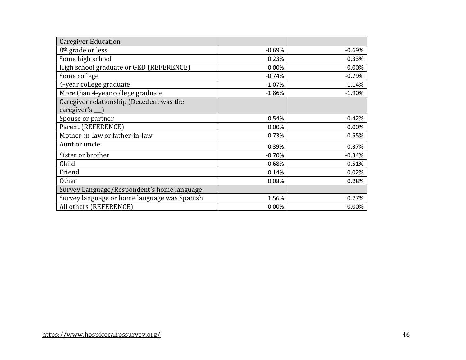| <b>Caregiver Education</b>                   |          |          |
|----------------------------------------------|----------|----------|
| 8 <sup>th</sup> grade or less                | $-0.69%$ | $-0.69%$ |
| Some high school                             | 0.23%    | 0.33%    |
| High school graduate or GED (REFERENCE)      | 0.00%    | 0.00%    |
| Some college                                 | $-0.74%$ | $-0.79%$ |
| 4-year college graduate                      | $-1.07%$ | $-1.14%$ |
| More than 4-year college graduate            | $-1.86%$ | $-1.90%$ |
| Caregiver relationship (Decedent was the     |          |          |
| caregiver's                                  |          |          |
| Spouse or partner                            | $-0.54%$ | $-0.42%$ |
| Parent (REFERENCE)                           | 0.00%    | 0.00%    |
| Mother-in-law or father-in-law               | 0.73%    | 0.55%    |
| Aunt or uncle                                | 0.39%    | 0.37%    |
| Sister or brother                            | $-0.70%$ | $-0.34%$ |
| Child                                        | $-0.68%$ | $-0.51%$ |
| Friend                                       | $-0.14%$ | 0.02%    |
| <b>Other</b>                                 | 0.08%    | 0.28%    |
| Survey Language/Respondent's home language   |          |          |
| Survey language or home language was Spanish | 1.56%    | 0.77%    |
| All others (REFERENCE)                       | 0.00%    | 0.00%    |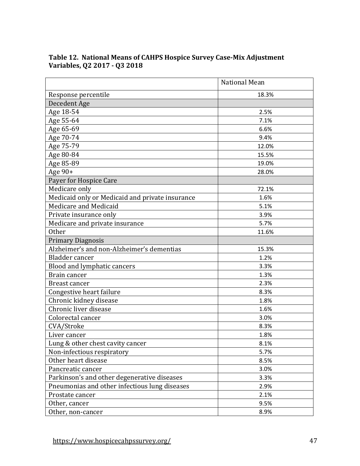|                                                 | <b>National Mean</b> |
|-------------------------------------------------|----------------------|
| Response percentile                             | 18.3%                |
| Decedent Age                                    |                      |
| Age 18-54                                       | 2.5%                 |
| Age 55-64                                       | 7.1%                 |
| Age 65-69                                       | 6.6%                 |
| Age 70-74                                       | 9.4%                 |
| Age 75-79                                       | 12.0%                |
| Age 80-84                                       | 15.5%                |
| Age 85-89                                       | 19.0%                |
| Age 90+                                         | 28.0%                |
| Payer for Hospice Care                          |                      |
| Medicare only                                   | 72.1%                |
| Medicaid only or Medicaid and private insurance | 1.6%                 |
| Medicare and Medicaid                           | 5.1%                 |
| Private insurance only                          | 3.9%                 |
| Medicare and private insurance                  | 5.7%                 |
| <b>Other</b>                                    | 11.6%                |
| <b>Primary Diagnosis</b>                        |                      |
| Alzheimer's and non-Alzheimer's dementias       | 15.3%                |
| Bladder cancer                                  | 1.2%                 |
| Blood and lymphatic cancers                     | 3.3%                 |
| Brain cancer                                    | 1.3%                 |
| Breast cancer                                   | 2.3%                 |
| Congestive heart failure                        | 8.3%                 |
| Chronic kidney disease                          | 1.8%                 |
| Chronic liver disease                           | 1.6%                 |
| Colorectal cancer                               | 3.0%                 |
| CVA/Stroke                                      | 8.3%                 |
| Liver cancer                                    | 1.8%                 |
| Lung & other chest cavity cancer                | 8.1%                 |
| Non-infectious respiratory                      | 5.7%                 |
| Other heart disease                             | 8.5%                 |
| Pancreatic cancer                               | 3.0%                 |
| Parkinson's and other degenerative diseases     | 3.3%                 |
| Pneumonias and other infectious lung diseases   | 2.9%                 |
| Prostate cancer                                 | 2.1%                 |
| Other, cancer                                   | 9.5%                 |
| Other, non-cancer                               | 8.9%                 |

# **Table 12. National Means of CAHPS Hospice Survey Case-Mix Adjustment Variables, Q2 2017 - Q3 2018**